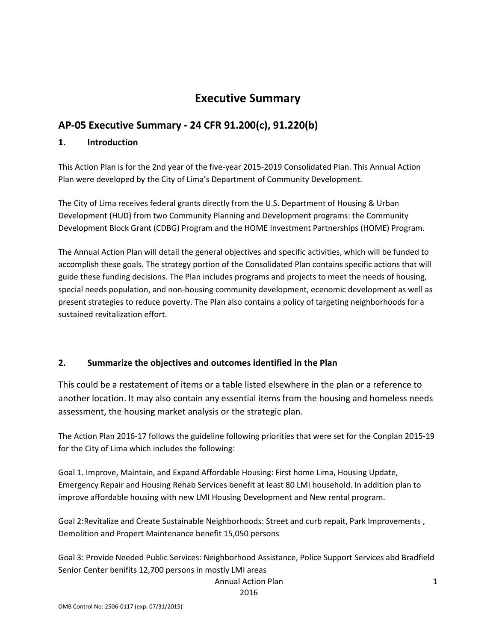# **Executive Summary**

# **AP-05 Executive Summary - 24 CFR 91.200(c), 91.220(b)**

## **1. Introduction**

This Action Plan is for the 2nd year of the five-year 2015-2019 Consolidated Plan. This Annual Action Plan were developed by the City of Lima's Department of Community Development.

The City of Lima receives federal grants directly from the U.S. Department of Housing & Urban Development (HUD) from two Community Planning and Development programs: the Community Development Block Grant (CDBG) Program and the HOME Investment Partnerships (HOME) Program.

The Annual Action Plan will detail the general objectives and specific activities, which will be funded to accomplish these goals. The strategy portion of the Consolidated Plan contains specific actions that will guide these funding decisions. The Plan includes programs and projects to meet the needs of housing, special needs population, and non-housing community development, ecenomic development as well as present strategies to reduce poverty. The Plan also contains a policy of targeting neighborhoods for a sustained revitalization effort.

## **2. Summarize the objectives and outcomes identified in the Plan**

This could be a restatement of items or a table listed elsewhere in the plan or a reference to another location. It may also contain any essential items from the housing and homeless needs assessment, the housing market analysis or the strategic plan.

The Action Plan 2016-17 follows the guideline following priorities that were set for the Conplan 2015-19 for the City of Lima which includes the following:

Goal 1. Improve, Maintain, and Expand Affordable Housing: First home Lima, Housing Update, Emergency Repair and Housing Rehab Services benefit at least 80 LMI household. In addition plan to improve affordable housing with new LMI Housing Development and New rental program.

Goal 2:Revitalize and Create Sustainable Neighborhoods: Street and curb repait, Park Improvements , Demolition and Propert Maintenance benefit 15,050 persons

Goal 3: Provide Needed Public Services: Neighborhood Assistance, Police Support Services abd Bradfield Senior Center benifits 12,700 persons in mostly LMI areas

#### Annual Action Plan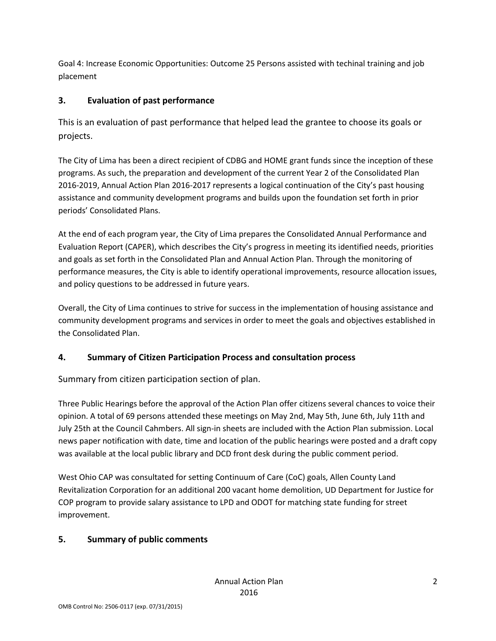Goal 4: Increase Economic Opportunities: Outcome 25 Persons assisted with techinal training and job placement

# **3. Evaluation of past performance**

This is an evaluation of past performance that helped lead the grantee to choose its goals or projects.

The City of Lima has been a direct recipient of CDBG and HOME grant funds since the inception of these programs. As such, the preparation and development of the current Year 2 of the Consolidated Plan 2016-2019, Annual Action Plan 2016-2017 represents a logical continuation of the City's past housing assistance and community development programs and builds upon the foundation set forth in prior periods' Consolidated Plans.

At the end of each program year, the City of Lima prepares the Consolidated Annual Performance and Evaluation Report (CAPER), which describes the City's progress in meeting its identified needs, priorities and goals as set forth in the Consolidated Plan and Annual Action Plan. Through the monitoring of performance measures, the City is able to identify operational improvements, resource allocation issues, and policy questions to be addressed in future years.

Overall, the City of Lima continues to strive for success in the implementation of housing assistance and community development programs and services in order to meet the goals and objectives established in the Consolidated Plan.

# **4. Summary of Citizen Participation Process and consultation process**

Summary from citizen participation section of plan.

Three Public Hearings before the approval of the Action Plan offer citizens several chances to voice their opinion. A total of 69 persons attended these meetings on May 2nd, May 5th, June 6th, July 11th and July 25th at the Council Cahmbers. All sign-in sheets are included with the Action Plan submission. Local news paper notification with date, time and location of the public hearings were posted and a draft copy was available at the local public library and DCD front desk during the public comment period.

West Ohio CAP was consultated for setting Continuum of Care (CoC) goals, Allen County Land Revitalization Corporation for an additional 200 vacant home demolition, UD Department for Justice for COP program to provide salary assistance to LPD and ODOT for matching state funding for street improvement.

# **5. Summary of public comments**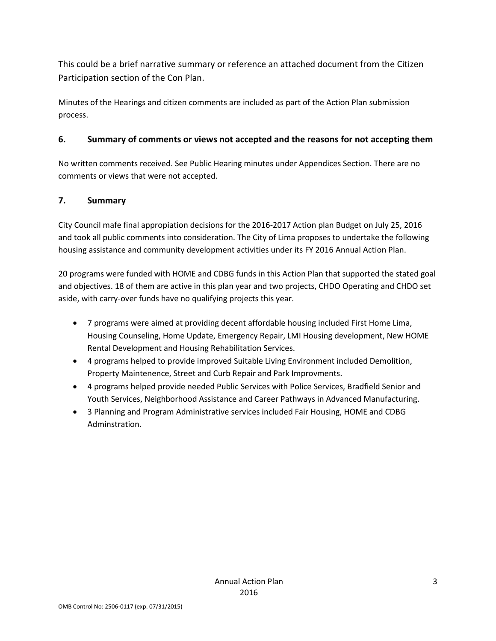This could be a brief narrative summary or reference an attached document from the Citizen Participation section of the Con Plan.

Minutes of the Hearings and citizen comments are included as part of the Action Plan submission process.

## **6. Summary of comments or views not accepted and the reasons for not accepting them**

No written comments received. See Public Hearing minutes under Appendices Section. There are no comments or views that were not accepted.

## **7. Summary**

City Council mafe final appropiation decisions for the 2016-2017 Action plan Budget on July 25, 2016 and took all public comments into consideration. The City of Lima proposes to undertake the following housing assistance and community development activities under its FY 2016 Annual Action Plan.

20 programs were funded with HOME and CDBG funds in this Action Plan that supported the stated goal and objectives. 18 of them are active in this plan year and two projects, CHDO Operating and CHDO set aside, with carry-over funds have no qualifying projects this year.

- 7 programs were aimed at providing decent affordable housing included First Home Lima, Housing Counseling, Home Update, Emergency Repair, LMI Housing development, New HOME Rental Development and Housing Rehabilitation Services.
- 4 programs helped to provide improved Suitable Living Environment included Demolition, Property Maintenence, Street and Curb Repair and Park Improvments.
- 4 programs helped provide needed Public Services with Police Services, Bradfield Senior and Youth Services, Neighborhood Assistance and Career Pathways in Advanced Manufacturing.
- 3 Planning and Program Administrative services included Fair Housing, HOME and CDBG Adminstration.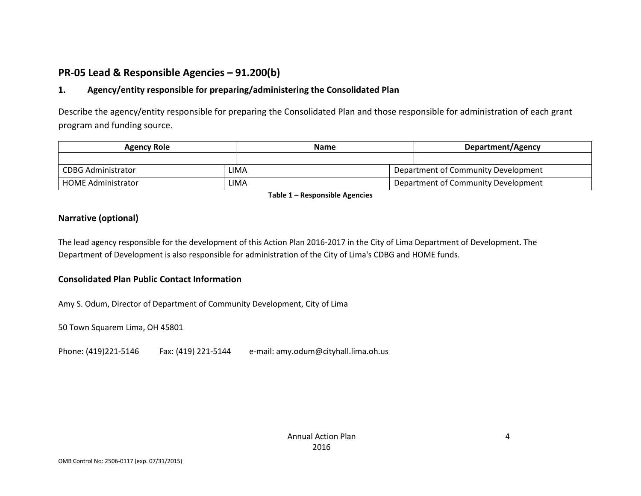# **PR-05 Lead & Responsible Agencies – 91.200(b)**

## **1. Agency/entity responsible for preparing/administering the Consolidated Plan**

Describe the agency/entity responsible for preparing the Consolidated Plan and those responsible for administration of each grant program and funding source.

| <b>Agency Role</b>        | <b>Name</b> |  | Department/Agency                   |  |  |
|---------------------------|-------------|--|-------------------------------------|--|--|
|                           |             |  |                                     |  |  |
| CDBG Administrator        | LIMA        |  | Department of Community Development |  |  |
| <b>HOME Administrator</b> | LIMA        |  | Department of Community Development |  |  |

**Table 1 – Responsible Agencies**

### **Narrative (optional)**

The lead agency responsible for the development of this Action Plan 2016-2017 in the City of Lima Department of Development. The Department of Development is also responsible for administration of the City of Lima's CDBG and HOME funds.

## **Consolidated Plan Public Contact Information**

Amy S. Odum, Director of Department of Community Development, City of Lima

50 Town Squarem Lima, OH 45801

Phone: (419)221-5146 Fax: (419) 221-5144 e-mail: amy.odum@cityhall.lima.oh.us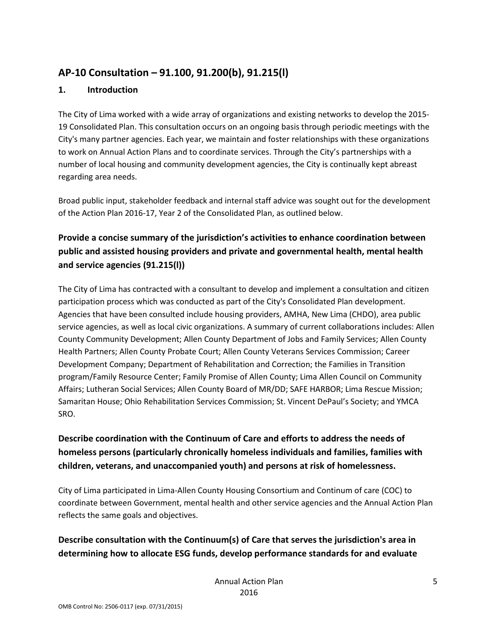# **AP-10 Consultation – 91.100, 91.200(b), 91.215(l)**

## **1. Introduction**

The City of Lima worked with a wide array of organizations and existing networks to develop the 2015- 19 Consolidated Plan. This consultation occurs on an ongoing basis through periodic meetings with the City's many partner agencies. Each year, we maintain and foster relationships with these organizations to work on Annual Action Plans and to coordinate services. Through the City's partnerships with a number of local housing and community development agencies, the City is continually kept abreast regarding area needs.

Broad public input, stakeholder feedback and internal staff advice was sought out for the development of the Action Plan 2016-17, Year 2 of the Consolidated Plan, as outlined below.

# **Provide a concise summary of the jurisdiction's activities to enhance coordination between public and assisted housing providers and private and governmental health, mental health and service agencies (91.215(l))**

The City of Lima has contracted with a consultant to develop and implement a consultation and citizen participation process which was conducted as part of the City's Consolidated Plan development. Agencies that have been consulted include housing providers, AMHA, New Lima (CHDO), area public service agencies, as well as local civic organizations. A summary of current collaborations includes: Allen County Community Development; Allen County Department of Jobs and Family Services; Allen County Health Partners; Allen County Probate Court; Allen County Veterans Services Commission; Career Development Company; Department of Rehabilitation and Correction; the Families in Transition program/Family Resource Center; Family Promise of Allen County; Lima Allen Council on Community Affairs; Lutheran Social Services; Allen County Board of MR/DD; SAFE HARBOR; Lima Rescue Mission; Samaritan House; Ohio Rehabilitation Services Commission; St. Vincent DePaul's Society; and YMCA SRO.

# **Describe coordination with the Continuum of Care and efforts to address the needs of homeless persons (particularly chronically homeless individuals and families, families with children, veterans, and unaccompanied youth) and persons at risk of homelessness.**

City of Lima participated in Lima-Allen County Housing Consortium and Continum of care (COC) to coordinate between Government, mental health and other service agencies and the Annual Action Plan reflects the same goals and objectives.

# **Describe consultation with the Continuum(s) of Care that serves the jurisdiction's area in determining how to allocate ESG funds, develop performance standards for and evaluate**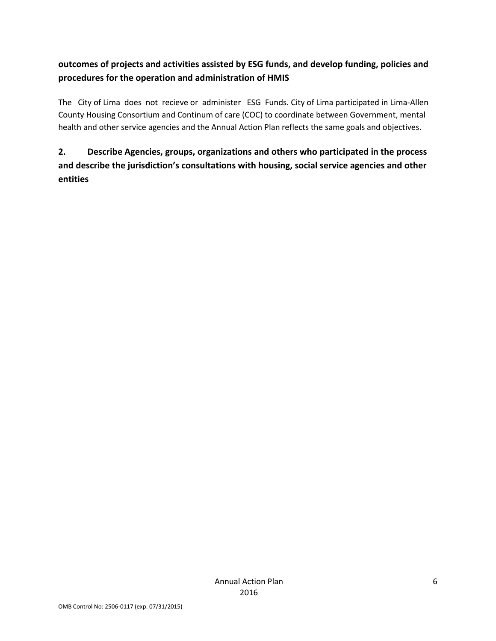# **outcomes of projects and activities assisted by ESG funds, and develop funding, policies and procedures for the operation and administration of HMIS**

The City of Lima does not recieve or administer ESG Funds. City of Lima participated in Lima-Allen County Housing Consortium and Continum of care (COC) to coordinate between Government, mental health and other service agencies and the Annual Action Plan reflects the same goals and objectives.

# **2. Describe Agencies, groups, organizations and others who participated in the process and describe the jurisdiction's consultations with housing, social service agencies and other entities**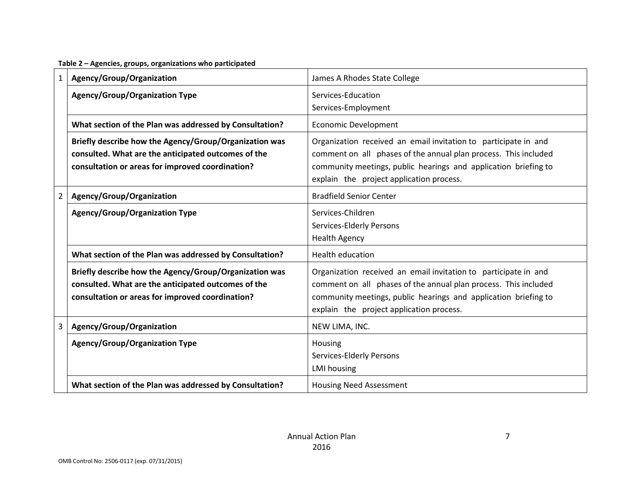**Table 2 – Agencies, groups, organizations who participated**

| $\mathbf{1}$   | Agency/Group/Organization                                                                                                                                         | James A Rhodes State College                                                                                                                                                                                                                      |  |  |  |
|----------------|-------------------------------------------------------------------------------------------------------------------------------------------------------------------|---------------------------------------------------------------------------------------------------------------------------------------------------------------------------------------------------------------------------------------------------|--|--|--|
|                | <b>Agency/Group/Organization Type</b>                                                                                                                             | Services-Education<br>Services-Employment                                                                                                                                                                                                         |  |  |  |
|                | What section of the Plan was addressed by Consultation?                                                                                                           | <b>Economic Development</b>                                                                                                                                                                                                                       |  |  |  |
|                | Briefly describe how the Agency/Group/Organization was<br>consulted. What are the anticipated outcomes of the<br>consultation or areas for improved coordination? | Organization received an email invitation to participate in and<br>comment on all phases of the annual plan process. This included<br>community meetings, public hearings and application briefing to<br>explain the project application process. |  |  |  |
| $\overline{2}$ | Agency/Group/Organization                                                                                                                                         | <b>Bradfield Senior Center</b>                                                                                                                                                                                                                    |  |  |  |
|                | <b>Agency/Group/Organization Type</b>                                                                                                                             | Services-Children<br>Services-Elderly Persons<br><b>Health Agency</b>                                                                                                                                                                             |  |  |  |
|                | What section of the Plan was addressed by Consultation?                                                                                                           | <b>Health education</b>                                                                                                                                                                                                                           |  |  |  |
|                | Briefly describe how the Agency/Group/Organization was<br>consulted. What are the anticipated outcomes of the<br>consultation or areas for improved coordination? | Organization received an email invitation to participate in and<br>comment on all phases of the annual plan process. This included<br>community meetings, public hearings and application briefing to<br>explain the project application process. |  |  |  |
| 3              | Agency/Group/Organization                                                                                                                                         | NEW LIMA, INC.                                                                                                                                                                                                                                    |  |  |  |
|                | <b>Agency/Group/Organization Type</b>                                                                                                                             | Housing<br>Services-Elderly Persons<br><b>LMI</b> housing                                                                                                                                                                                         |  |  |  |
|                | What section of the Plan was addressed by Consultation?                                                                                                           | <b>Housing Need Assessment</b>                                                                                                                                                                                                                    |  |  |  |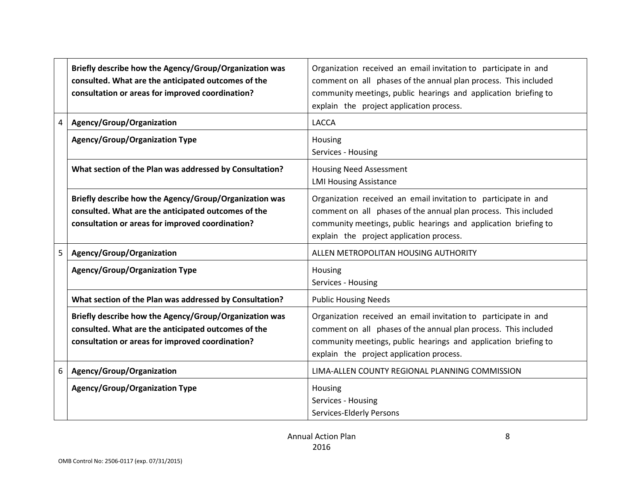|                | Briefly describe how the Agency/Group/Organization was<br>consulted. What are the anticipated outcomes of the<br>consultation or areas for improved coordination? | Organization received an email invitation to participate in and<br>comment on all phases of the annual plan process. This included<br>community meetings, public hearings and application briefing to<br>explain the project application process. |
|----------------|-------------------------------------------------------------------------------------------------------------------------------------------------------------------|---------------------------------------------------------------------------------------------------------------------------------------------------------------------------------------------------------------------------------------------------|
| $\overline{4}$ | Agency/Group/Organization                                                                                                                                         | <b>LACCA</b>                                                                                                                                                                                                                                      |
|                | <b>Agency/Group/Organization Type</b>                                                                                                                             | Housing<br>Services - Housing                                                                                                                                                                                                                     |
|                | What section of the Plan was addressed by Consultation?                                                                                                           | <b>Housing Need Assessment</b><br><b>LMI Housing Assistance</b>                                                                                                                                                                                   |
|                | Briefly describe how the Agency/Group/Organization was<br>consulted. What are the anticipated outcomes of the<br>consultation or areas for improved coordination? | Organization received an email invitation to participate in and<br>comment on all phases of the annual plan process. This included<br>community meetings, public hearings and application briefing to<br>explain the project application process. |
| 5              | Agency/Group/Organization                                                                                                                                         | ALLEN METROPOLITAN HOUSING AUTHORITY                                                                                                                                                                                                              |
|                | <b>Agency/Group/Organization Type</b>                                                                                                                             | Housing<br>Services - Housing                                                                                                                                                                                                                     |
|                | What section of the Plan was addressed by Consultation?                                                                                                           | <b>Public Housing Needs</b>                                                                                                                                                                                                                       |
|                | Briefly describe how the Agency/Group/Organization was<br>consulted. What are the anticipated outcomes of the<br>consultation or areas for improved coordination? | Organization received an email invitation to participate in and<br>comment on all phases of the annual plan process. This included<br>community meetings, public hearings and application briefing to<br>explain the project application process. |
| 6              | Agency/Group/Organization                                                                                                                                         | LIMA-ALLEN COUNTY REGIONAL PLANNING COMMISSION                                                                                                                                                                                                    |
|                | <b>Agency/Group/Organization Type</b>                                                                                                                             | Housing<br>Services - Housing<br>Services-Elderly Persons                                                                                                                                                                                         |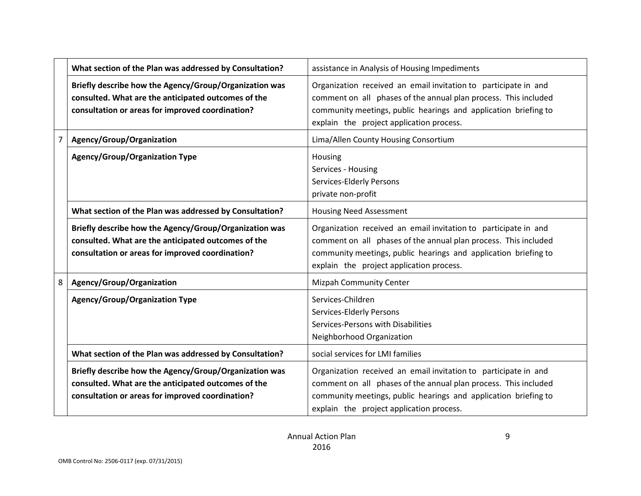|   | What section of the Plan was addressed by Consultation?                                                                                                           | assistance in Analysis of Housing Impediments                                                                                                                                                                                                     |
|---|-------------------------------------------------------------------------------------------------------------------------------------------------------------------|---------------------------------------------------------------------------------------------------------------------------------------------------------------------------------------------------------------------------------------------------|
|   | Briefly describe how the Agency/Group/Organization was<br>consulted. What are the anticipated outcomes of the<br>consultation or areas for improved coordination? | Organization received an email invitation to participate in and<br>comment on all phases of the annual plan process. This included<br>community meetings, public hearings and application briefing to<br>explain the project application process. |
| 7 | Agency/Group/Organization                                                                                                                                         | Lima/Allen County Housing Consortium                                                                                                                                                                                                              |
|   | <b>Agency/Group/Organization Type</b>                                                                                                                             | Housing<br>Services - Housing<br>Services-Elderly Persons<br>private non-profit                                                                                                                                                                   |
|   | What section of the Plan was addressed by Consultation?                                                                                                           | <b>Housing Need Assessment</b>                                                                                                                                                                                                                    |
|   | Briefly describe how the Agency/Group/Organization was<br>consulted. What are the anticipated outcomes of the<br>consultation or areas for improved coordination? | Organization received an email invitation to participate in and<br>comment on all phases of the annual plan process. This included<br>community meetings, public hearings and application briefing to<br>explain the project application process. |
| 8 | Agency/Group/Organization                                                                                                                                         | <b>Mizpah Community Center</b>                                                                                                                                                                                                                    |
|   | <b>Agency/Group/Organization Type</b>                                                                                                                             | Services-Children<br><b>Services-Elderly Persons</b><br>Services-Persons with Disabilities<br>Neighborhood Organization                                                                                                                           |
|   | What section of the Plan was addressed by Consultation?                                                                                                           | social services for LMI families                                                                                                                                                                                                                  |
|   | Briefly describe how the Agency/Group/Organization was<br>consulted. What are the anticipated outcomes of the<br>consultation or areas for improved coordination? | Organization received an email invitation to participate in and<br>comment on all phases of the annual plan process. This included<br>community meetings, public hearings and application briefing to<br>explain the project application process. |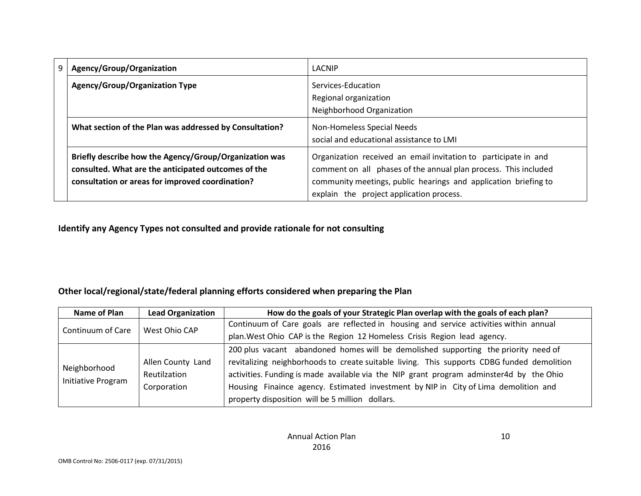| 9 | Agency/Group/Organization                                                                                                                                         | LACNIP                                                                                                                                                                                                                                            |
|---|-------------------------------------------------------------------------------------------------------------------------------------------------------------------|---------------------------------------------------------------------------------------------------------------------------------------------------------------------------------------------------------------------------------------------------|
|   | <b>Agency/Group/Organization Type</b>                                                                                                                             | Services-Education<br>Regional organization<br>Neighborhood Organization                                                                                                                                                                          |
|   | What section of the Plan was addressed by Consultation?                                                                                                           | Non-Homeless Special Needs<br>social and educational assistance to LMI                                                                                                                                                                            |
|   | Briefly describe how the Agency/Group/Organization was<br>consulted. What are the anticipated outcomes of the<br>consultation or areas for improved coordination? | Organization received an email invitation to participate in and<br>comment on all phases of the annual plan process. This included<br>community meetings, public hearings and application briefing to<br>explain the project application process. |

**Identify any Agency Types not consulted and provide rationale for not consulting**

## **Other local/regional/state/federal planning efforts considered when preparing the Plan**

| Name of Plan                       | <b>Lead Organization</b> | How do the goals of your Strategic Plan overlap with the goals of each plan?               |  |  |  |  |
|------------------------------------|--------------------------|--------------------------------------------------------------------------------------------|--|--|--|--|
| Continuum of Care                  | West Ohio CAP            | Continuum of Care goals are reflected in housing and service activities within annual      |  |  |  |  |
|                                    |                          | plan. West Ohio CAP is the Region 12 Homeless Crisis Region lead agency.                   |  |  |  |  |
|                                    |                          | 200 plus vacant abandoned homes will be demolished supporting the priority need of         |  |  |  |  |
|                                    | Allen County Land        | revitalizing neighborhoods to create suitable living. This supports CDBG funded demolition |  |  |  |  |
| Neighborhood<br>Initiative Program | Reutilzation             | activities. Funding is made available via the NIP grant program adminster4d by the Ohio    |  |  |  |  |
|                                    | Corporation              | Housing Finaince agency. Estimated investment by NIP in City of Lima demolition and        |  |  |  |  |
|                                    |                          | property disposition will be 5 million dollars.                                            |  |  |  |  |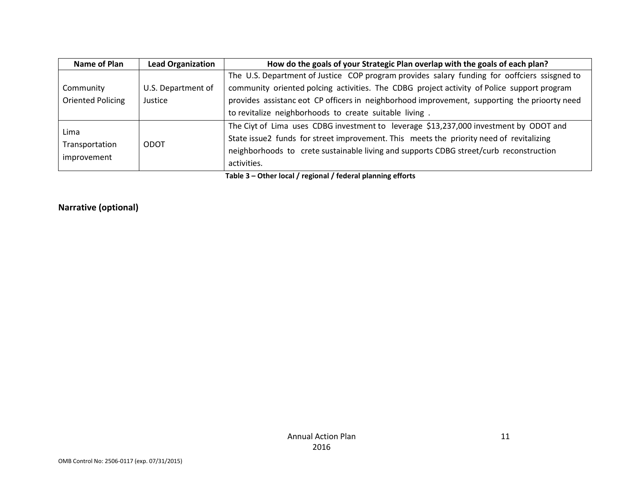| <b>Name of Plan</b> | <b>Lead Organization</b> | How do the goals of your Strategic Plan overlap with the goals of each plan?                 |  |  |  |  |
|---------------------|--------------------------|----------------------------------------------------------------------------------------------|--|--|--|--|
|                     |                          | The U.S. Department of Justice COP program provides salary funding for ooffciers ssisgned to |  |  |  |  |
| Community           | U.S. Department of       | community oriented polcing activities. The CDBG project activity of Police support program   |  |  |  |  |
| Oriented Policing   | Justice                  | provides assistance ot CP officers in neighborhood improvement, supporting the prioorty need |  |  |  |  |
|                     |                          | to revitalize neighborhoods to create suitable living.                                       |  |  |  |  |
| Lima                |                          | The Ciyt of Lima uses CDBG investment to leverage \$13,237,000 investment by ODOT and        |  |  |  |  |
|                     |                          | State issue2 funds for street improvement. This meets the priority need of revitalizing      |  |  |  |  |
| Transportation      | <b>ODOT</b>              | neighborhoods to crete sustainable living and supports CDBG street/curb reconstruction       |  |  |  |  |
| improvement         |                          | activities.                                                                                  |  |  |  |  |
|                     |                          |                                                                                              |  |  |  |  |

**Table 3 – Other local / regional / federal planning efforts**

**Narrative (optional)**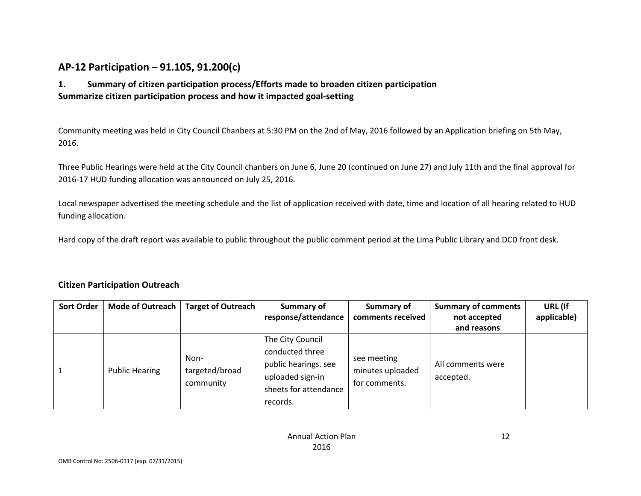# **AP-12 Participation – 91.105, 91.200(c)**

## **1. Summary of citizen participation process/Efforts made to broaden citizen participation Summarize citizen participation process and how it impacted goal-setting**

Community meeting was held in City Council Chanbers at 5:30 PM on the 2nd of May, 2016 followed by an Application briefing on 5th May, 2016.

Three Public Hearings were held at the City Council chanbers on June 6, June 20 (continued on June 27) and July 11th and the final approval for 2016-17 HUD funding allocation was announced on July 25, 2016.

Local newspaper advertised the meeting schedule and the list of application received with date, time and location of all hearing related to HUD funding allocation.

Hard copy of the draft report was available to public throughout the public comment period at the Lima Public Library and DCD front desk.

#### **Citizen Participation Outreach**

| <b>Sort Order</b> | Mode of Outreach      | <b>Target of Outreach</b>           | Summary of                                                                                                           | Summary of                                       | <b>Summary of comments</b>     | URL (If     |
|-------------------|-----------------------|-------------------------------------|----------------------------------------------------------------------------------------------------------------------|--------------------------------------------------|--------------------------------|-------------|
|                   |                       |                                     | response/attendance                                                                                                  | comments received                                | not accepted                   | applicable) |
|                   |                       |                                     |                                                                                                                      |                                                  | and reasons                    |             |
|                   | <b>Public Hearing</b> | Non-<br>targeted/broad<br>community | The City Council<br>conducted three<br>public hearings. see<br>uploaded sign-in<br>sheets for attendance<br>records. | see meeting<br>minutes uploaded<br>for comments. | All comments were<br>accepted. |             |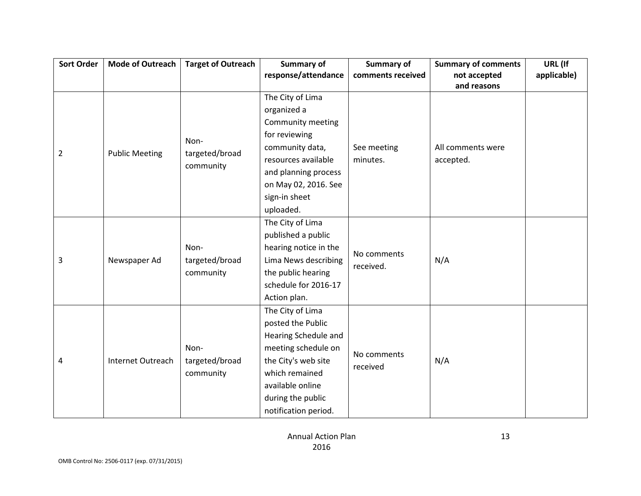| <b>Sort Order</b> | <b>Mode of Outreach</b> | <b>Target of Outreach</b> | <b>Summary of</b>     | <b>Summary of</b> | <b>Summary of comments</b> | URL (If     |
|-------------------|-------------------------|---------------------------|-----------------------|-------------------|----------------------------|-------------|
|                   |                         |                           | response/attendance   | comments received | not accepted               | applicable) |
|                   |                         |                           |                       |                   | and reasons                |             |
|                   |                         |                           | The City of Lima      |                   |                            |             |
|                   |                         |                           | organized a           |                   |                            |             |
|                   |                         |                           | Community meeting     |                   |                            |             |
|                   |                         | Non-                      | for reviewing         |                   |                            |             |
| $\overline{2}$    | <b>Public Meeting</b>   | targeted/broad            | community data,       | See meeting       | All comments were          |             |
|                   |                         | community                 | resources available   | minutes.          | accepted.                  |             |
|                   |                         |                           | and planning process  |                   |                            |             |
|                   |                         |                           | on May 02, 2016. See  |                   |                            |             |
|                   |                         |                           | sign-in sheet         |                   |                            |             |
|                   |                         |                           | uploaded.             |                   |                            |             |
|                   |                         |                           | The City of Lima      |                   |                            |             |
|                   |                         |                           | published a public    |                   | N/A                        |             |
|                   |                         | Non-                      | hearing notice in the |                   |                            |             |
| 3                 | Newspaper Ad            | targeted/broad            | Lima News describing  | No comments       |                            |             |
|                   |                         | community                 | the public hearing    | received.         |                            |             |
|                   |                         |                           | schedule for 2016-17  |                   |                            |             |
|                   |                         |                           | Action plan.          |                   |                            |             |
|                   |                         |                           | The City of Lima      |                   |                            |             |
|                   |                         |                           | posted the Public     |                   |                            |             |
|                   |                         |                           | Hearing Schedule and  |                   |                            |             |
|                   |                         | Non-                      | meeting schedule on   | No comments       |                            |             |
| 4                 | Internet Outreach       | targeted/broad            | the City's web site   | received          | N/A                        |             |
|                   |                         | community                 | which remained        |                   |                            |             |
|                   |                         |                           | available online      |                   |                            |             |
|                   |                         |                           | during the public     |                   |                            |             |
|                   |                         |                           | notification period.  |                   |                            |             |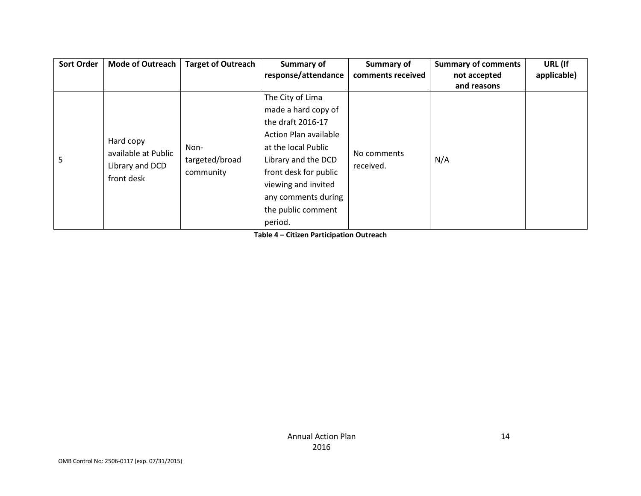| <b>Sort Order</b> | <b>Mode of Outreach</b>                                           | <b>Target of Outreach</b>           | Summary of                   | Summary of        | <b>Summary of comments</b> | URL (If     |
|-------------------|-------------------------------------------------------------------|-------------------------------------|------------------------------|-------------------|----------------------------|-------------|
|                   |                                                                   |                                     | response/attendance          | comments received | not accepted               | applicable) |
|                   |                                                                   |                                     |                              |                   | and reasons                |             |
|                   |                                                                   |                                     | The City of Lima             |                   |                            |             |
|                   |                                                                   |                                     | made a hard copy of          |                   |                            |             |
|                   | Hard copy<br>available at Public<br>Library and DCD<br>front desk | Non-<br>targeted/broad<br>community | the draft 2016-17            |                   | N/A                        |             |
|                   |                                                                   |                                     | <b>Action Plan available</b> |                   |                            |             |
|                   |                                                                   |                                     | at the local Public          |                   |                            |             |
| 5                 |                                                                   |                                     | Library and the DCD          | No comments       |                            |             |
|                   |                                                                   |                                     | front desk for public        | received.         |                            |             |
|                   |                                                                   |                                     | viewing and invited          |                   |                            |             |
|                   |                                                                   |                                     | any comments during          |                   |                            |             |
|                   |                                                                   |                                     | the public comment           |                   |                            |             |
|                   |                                                                   |                                     | period.                      |                   |                            |             |

**Table 4 – Citizen Participation Outreach**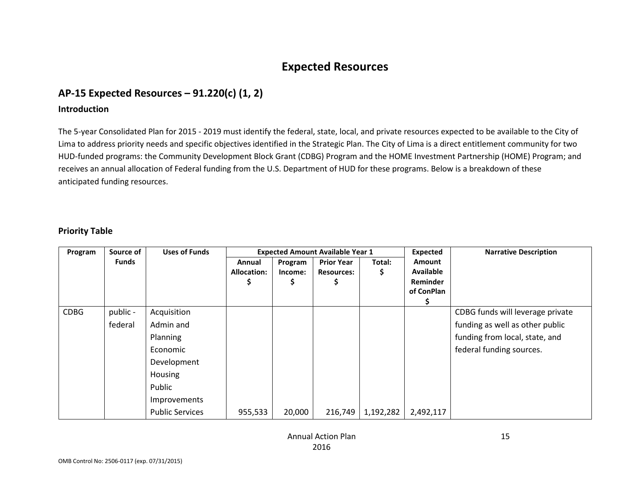# **Expected Resources**

# **AP-15 Expected Resources – 91.220(c) (1, 2)**

#### **Introduction**

The 5-year Consolidated Plan for 2015 - 2019 must identify the federal, state, local, and private resources expected to be available to the City of Lima to address priority needs and specific objectives identified in the Strategic Plan. The City of Lima is a direct entitlement community for two HUD-funded programs: the Community Development Block Grant (CDBG) Program and the HOME Investment Partnership (HOME) Program; and receives an annual allocation of Federal funding from the U.S. Department of HUD for these programs. Below is a breakdown of these anticipated funding resources.

#### **Priority Table**

| Program     | Source of           | <b>Uses of Funds</b>                                                                                                                  | <b>Expected Amount Available Year 1</b> |                         | <b>Expected</b>                        | <b>Narrative Description</b> |                                                             |                                                                                                                                   |
|-------------|---------------------|---------------------------------------------------------------------------------------------------------------------------------------|-----------------------------------------|-------------------------|----------------------------------------|------------------------------|-------------------------------------------------------------|-----------------------------------------------------------------------------------------------------------------------------------|
|             | <b>Funds</b>        |                                                                                                                                       | Annual<br><b>Allocation:</b>            | Program<br>Income:<br>১ | <b>Prior Year</b><br><b>Resources:</b> | Total:<br>Ş                  | Amount<br><b>Available</b><br><b>Reminder</b><br>of ConPlan |                                                                                                                                   |
| <b>CDBG</b> | public -<br>federal | Acquisition<br>Admin and<br>Planning<br>Economic<br>Development<br><b>Housing</b><br>Public<br>Improvements<br><b>Public Services</b> | 955,533                                 | 20,000                  | 216,749                                | 1,192,282                    | 2,492,117                                                   | CDBG funds will leverage private<br>funding as well as other public<br>funding from local, state, and<br>federal funding sources. |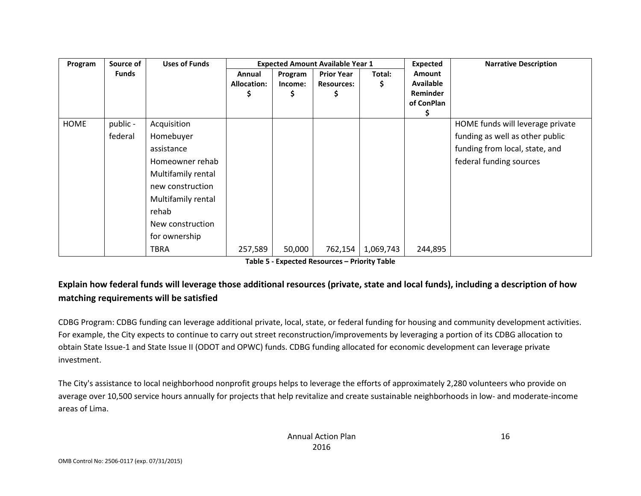| Program | Source of    | <b>Uses of Funds</b> |                                   | <b>Expected Amount Available Year 1</b> |                                             | <b>Expected</b> | <b>Narrative Description</b>                  |                                  |
|---------|--------------|----------------------|-----------------------------------|-----------------------------------------|---------------------------------------------|-----------------|-----------------------------------------------|----------------------------------|
|         | <b>Funds</b> |                      | Annual<br><b>Allocation:</b><br>C | Program<br>Income:<br>S                 | <b>Prior Year</b><br><b>Resources:</b><br>5 | Total:<br>Ş     | Amount<br><b>Available</b><br><b>Reminder</b> |                                  |
|         |              |                      |                                   |                                         |                                             |                 | of ConPlan                                    |                                  |
|         |              |                      |                                   |                                         |                                             |                 | S.                                            |                                  |
| HOME    | public -     | Acquisition          |                                   |                                         |                                             |                 |                                               | HOME funds will leverage private |
|         | federal      | Homebuyer            |                                   |                                         |                                             |                 |                                               | funding as well as other public  |
|         |              | assistance           |                                   |                                         |                                             |                 |                                               | funding from local, state, and   |
|         |              | Homeowner rehab      |                                   |                                         |                                             |                 |                                               | federal funding sources          |
|         |              | Multifamily rental   |                                   |                                         |                                             |                 |                                               |                                  |
|         |              | new construction     |                                   |                                         |                                             |                 |                                               |                                  |
|         |              | Multifamily rental   |                                   |                                         |                                             |                 |                                               |                                  |
|         |              | rehab                |                                   |                                         |                                             |                 |                                               |                                  |
|         |              | New construction     |                                   |                                         |                                             |                 |                                               |                                  |
|         |              | for ownership        |                                   |                                         |                                             |                 |                                               |                                  |
|         |              | <b>TBRA</b>          | 257,589                           | 50,000                                  | 762,154                                     | 1,069,743       | 244,895                                       |                                  |

| Table 5 - Expected Resources - Priority Table |  |
|-----------------------------------------------|--|
|-----------------------------------------------|--|

## **Explain how federal funds will leverage those additional resources (private, state and local funds), including a description of how matching requirements will be satisfied**

CDBG Program: CDBG funding can leverage additional private, local, state, or federal funding for housing and community development activities. For example, the City expects to continue to carry out street reconstruction/improvements by leveraging a portion of its CDBG allocation to obtain State Issue-1 and State Issue II (ODOT and OPWC) funds. CDBG funding allocated for economic development can leverage private investment.

The City's assistance to local neighborhood nonprofit groups helps to leverage the efforts of approximately 2,280 volunteers who provide on average over 10,500 service hours annually for projects that help revitalize and create sustainable neighborhoods in low- and moderate-income areas of Lima.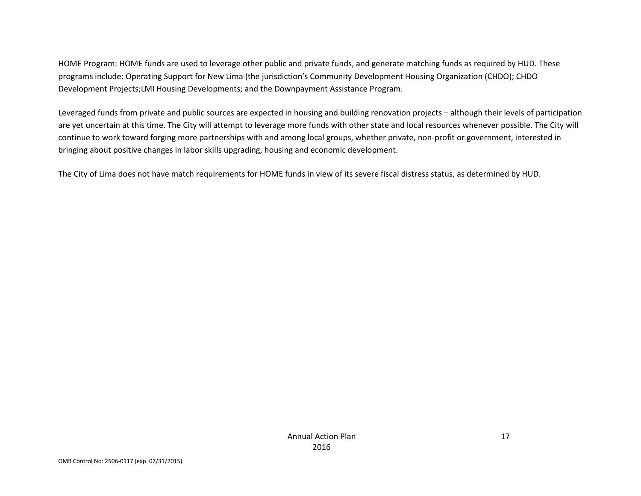HOME Program: HOME funds are used to leverage other public and private funds, and generate matching funds as required by HUD. These programs include: Operating Support for New Lima (the jurisdiction's Community Development Housing Organization (CHDO); CHDO Development Projects;LMI Housing Developments; and the Downpayment Assistance Program.

Leveraged funds from private and public sources are expected in housing and building renovation projects – although their levels of participation are yet uncertain at this time. The City will attempt to leverage more funds with other state and local resources whenever possible. The City will continue to work toward forging more partnerships with and among local groups, whether private, non-profit or government, interested in bringing about positive changes in labor skills upgrading, housing and economic development.

The City of Lima does not have match requirements for HOME funds in view of its severe fiscal distress status, as determined by HUD.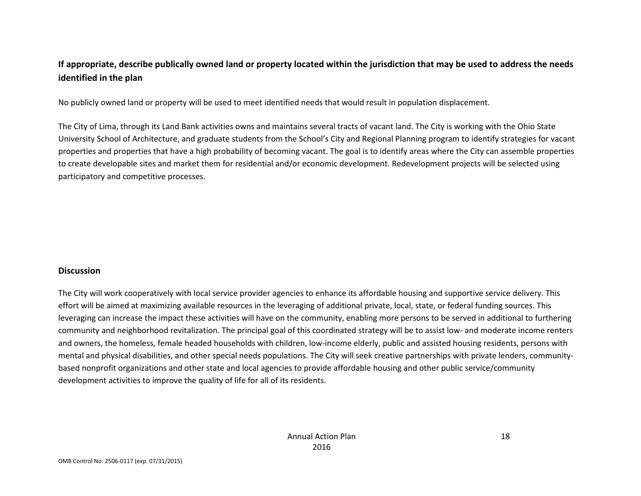## **If appropriate, describe publically owned land or property located within the jurisdiction that may be used to address the needs identified in the plan**

No publicly owned land or property will be used to meet identified needs that would result in population displacement.

The City of Lima, through its Land Bank activities owns and maintains several tracts of vacant land. The City is working with the Ohio State University School of Architecture, and graduate students from the School's City and Regional Planning program to identify strategies for vacant properties and properties that have a high probability of becoming vacant. The goal is to identify areas where the City can assemble properties to create developable sites and market them for residential and/or economic development. Redevelopment projects will be selected using participatory and competitive processes.

#### **Discussion**

The City will work cooperatively with local service provider agencies to enhance its affordable housing and supportive service delivery. This effort will be aimed at maximizing available resources in the leveraging of additional private, local, state, or federal funding sources. This leveraging can increase the impact these activities will have on the community, enabling more persons to be served in additional to furthering community and neighborhood revitalization. The principal goal of this coordinated strategy will be to assist low- and moderate income renters and owners, the homeless, female headed households with children, low-income elderly, public and assisted housing residents, persons with mental and physical disabilities, and other special needs populations. The City will seek creative partnerships with private lenders, communitybased nonprofit organizations and other state and local agencies to provide affordable housing and other public service/community development activities to improve the quality of life for all of its residents.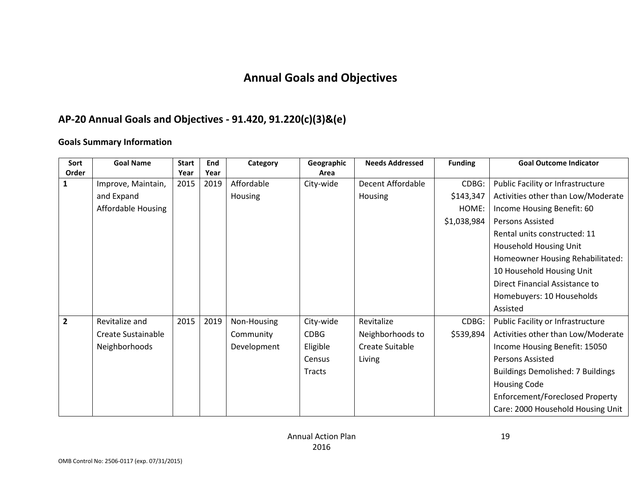# **Annual Goals and Objectives**

## **AP-20 Annual Goals and Objectives - 91.420, 91.220(c)(3)&(e)**

### **Goals Summary Information**

| Sort           | <b>Goal Name</b>   | <b>Start</b> | End  | Category       | Geographic    | <b>Needs Addressed</b> | <b>Funding</b> | <b>Goal Outcome Indicator</b>            |
|----------------|--------------------|--------------|------|----------------|---------------|------------------------|----------------|------------------------------------------|
| Order          |                    | Year         | Year |                | Area          |                        |                |                                          |
| 1              | Improve, Maintain, | 2015         | 2019 | Affordable     | City-wide     | Decent Affordable      | CDBG:          | Public Facility or Infrastructure        |
|                | and Expand         |              |      | <b>Housing</b> |               | <b>Housing</b>         | \$143,347      | Activities other than Low/Moderate       |
|                | Affordable Housing |              |      |                |               |                        | HOME:          | Income Housing Benefit: 60               |
|                |                    |              |      |                |               |                        | \$1,038,984    | Persons Assisted                         |
|                |                    |              |      |                |               |                        |                | Rental units constructed: 11             |
|                |                    |              |      |                |               |                        |                | <b>Household Housing Unit</b>            |
|                |                    |              |      |                |               |                        |                | Homeowner Housing Rehabilitated:         |
|                |                    |              |      |                |               |                        |                | 10 Household Housing Unit                |
|                |                    |              |      |                |               |                        |                | Direct Financial Assistance to           |
|                |                    |              |      |                |               |                        |                | Homebuyers: 10 Households                |
|                |                    |              |      |                |               |                        |                | Assisted                                 |
| $\overline{2}$ | Revitalize and     | 2015         | 2019 | Non-Housing    | City-wide     | Revitalize             | CDBG:          | Public Facility or Infrastructure        |
|                | Create Sustainable |              |      | Community      | <b>CDBG</b>   | Neighborhoods to       | \$539,894      | Activities other than Low/Moderate       |
|                | Neighborhoods      |              |      | Development    | Eligible      | Create Suitable        |                | Income Housing Benefit: 15050            |
|                |                    |              |      |                | Census        | Living                 |                | <b>Persons Assisted</b>                  |
|                |                    |              |      |                | <b>Tracts</b> |                        |                | <b>Buildings Demolished: 7 Buildings</b> |
|                |                    |              |      |                |               |                        |                | <b>Housing Code</b>                      |
|                |                    |              |      |                |               |                        |                | Enforcement/Foreclosed Property          |
|                |                    |              |      |                |               |                        |                | Care: 2000 Household Housing Unit        |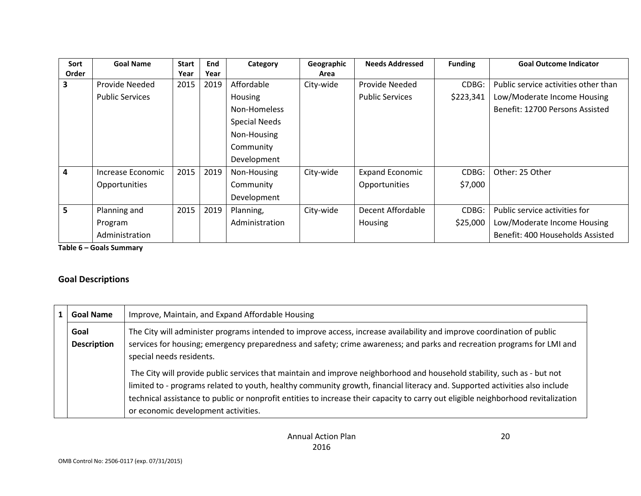| Sort  | <b>Goal Name</b>       | <b>Start</b> | <b>End</b> | Category             | Geographic | <b>Needs Addressed</b> | <b>Funding</b> | <b>Goal Outcome Indicator</b>        |
|-------|------------------------|--------------|------------|----------------------|------------|------------------------|----------------|--------------------------------------|
| Order |                        | Year         | Year       |                      | Area       |                        |                |                                      |
| 3     | Provide Needed         | 2015         | 2019       | Affordable           | City-wide  | Provide Needed         | CDBG:          | Public service activities other than |
|       | <b>Public Services</b> |              |            | Housing              |            | <b>Public Services</b> | \$223,341      | Low/Moderate Income Housing          |
|       |                        |              |            | Non-Homeless         |            |                        |                | Benefit: 12700 Persons Assisted      |
|       |                        |              |            | <b>Special Needs</b> |            |                        |                |                                      |
|       |                        |              |            | Non-Housing          |            |                        |                |                                      |
|       |                        |              |            | Community            |            |                        |                |                                      |
|       |                        |              |            | Development          |            |                        |                |                                      |
| 4     | Increase Economic      | 2015         | 2019       | Non-Housing          | City-wide  | <b>Expand Economic</b> | CDBG:          | Other: 25 Other                      |
|       | <b>Opportunities</b>   |              |            | Community            |            | Opportunities          | \$7,000        |                                      |
|       |                        |              |            | Development          |            |                        |                |                                      |
| 5     | Planning and           | 2015         | 2019       | Planning,            | City-wide  | Decent Affordable      | CDBG:          | Public service activities for        |
|       | Program                |              |            | Administration       |            | <b>Housing</b>         | \$25,000       | Low/Moderate Income Housing          |
|       | Administration         |              |            |                      |            |                        |                | Benefit: 400 Households Assisted     |

**Table 6 – Goals Summary**

## **Goal Descriptions**

| <b>Goal Name</b>           | Improve, Maintain, and Expand Affordable Housing                                                                                                                                                                                                                                                                                                                                                                                   |
|----------------------------|------------------------------------------------------------------------------------------------------------------------------------------------------------------------------------------------------------------------------------------------------------------------------------------------------------------------------------------------------------------------------------------------------------------------------------|
| Goal<br><b>Description</b> | The City will administer programs intended to improve access, increase availability and improve coordination of public<br>services for housing; emergency preparedness and safety; crime awareness; and parks and recreation programs for LMI and<br>special needs residents.                                                                                                                                                      |
|                            | The City will provide public services that maintain and improve neighborhood and household stability, such as - but not<br>limited to - programs related to youth, healthy community growth, financial literacy and. Supported activities also include<br>technical assistance to public or nonprofit entities to increase their capacity to carry out eligible neighborhood revitalization<br>or economic development activities. |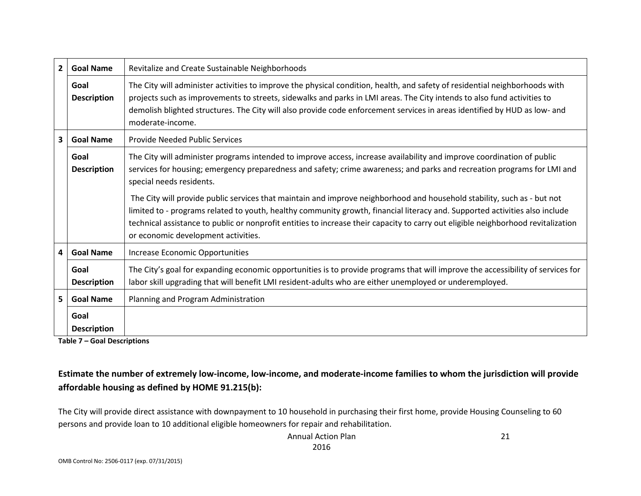| $\overline{2}$ | <b>Goal Name</b>                                          | Revitalize and Create Sustainable Neighborhoods                                                                                                                                                                                                                                                                                                                                                                                    |
|----------------|-----------------------------------------------------------|------------------------------------------------------------------------------------------------------------------------------------------------------------------------------------------------------------------------------------------------------------------------------------------------------------------------------------------------------------------------------------------------------------------------------------|
|                | Goal<br><b>Description</b>                                | The City will administer activities to improve the physical condition, health, and safety of residential neighborhoods with<br>projects such as improvements to streets, sidewalks and parks in LMI areas. The City intends to also fund activities to<br>demolish blighted structures. The City will also provide code enforcement services in areas identified by HUD as low- and<br>moderate-income.                            |
| 3              | <b>Goal Name</b><br><b>Provide Needed Public Services</b> |                                                                                                                                                                                                                                                                                                                                                                                                                                    |
|                | Goal<br><b>Description</b>                                | The City will administer programs intended to improve access, increase availability and improve coordination of public<br>services for housing; emergency preparedness and safety; crime awareness; and parks and recreation programs for LMI and<br>special needs residents.                                                                                                                                                      |
|                |                                                           | The City will provide public services that maintain and improve neighborhood and household stability, such as - but not<br>limited to - programs related to youth, healthy community growth, financial literacy and. Supported activities also include<br>technical assistance to public or nonprofit entities to increase their capacity to carry out eligible neighborhood revitalization<br>or economic development activities. |
| 4              | <b>Goal Name</b>                                          | Increase Economic Opportunities                                                                                                                                                                                                                                                                                                                                                                                                    |
|                | Goal<br><b>Description</b>                                | The City's goal for expanding economic opportunities is to provide programs that will improve the accessibility of services for<br>labor skill upgrading that will benefit LMI resident-adults who are either unemployed or underemployed.                                                                                                                                                                                         |
| 5.             | <b>Goal Name</b>                                          | Planning and Program Administration                                                                                                                                                                                                                                                                                                                                                                                                |
|                | Goal<br><b>Description</b>                                |                                                                                                                                                                                                                                                                                                                                                                                                                                    |

**Table 7 – Goal Descriptions**

# **Estimate the number of extremely low-income, low-income, and moderate-income families to whom the jurisdiction will provide affordable housing as defined by HOME 91.215(b):**

The City will provide direct assistance with downpayment to 10 household in purchasing their first home, provide Housing Counseling to 60 persons and provide loan to 10 additional eligible homeowners for repair and rehabilitation.

> Annual Action Plan 2016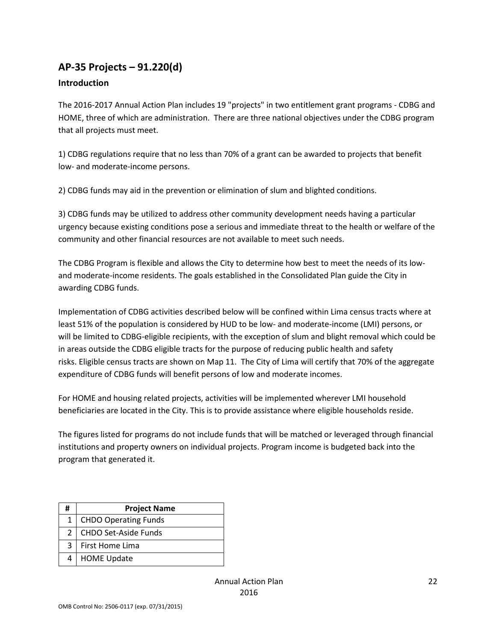# **AP-35 Projects – 91.220(d)**

### **Introduction**

The 2016-2017 Annual Action Plan includes 19 "projects" in two entitlement grant programs - CDBG and HOME, three of which are administration. There are three national objectives under the CDBG program that all projects must meet.

1) CDBG regulations require that no less than 70% of a grant can be awarded to projects that benefit low- and moderate-income persons.

2) CDBG funds may aid in the prevention or elimination of slum and blighted conditions.

3) CDBG funds may be utilized to address other community development needs having a particular urgency because existing conditions pose a serious and immediate threat to the health or welfare of the community and other financial resources are not available to meet such needs.

The CDBG Program is flexible and allows the City to determine how best to meet the needs of its lowand moderate-income residents. The goals established in the Consolidated Plan guide the City in awarding CDBG funds.

Implementation of CDBG activities described below will be confined within Lima census tracts where at least 51% of the population is considered by HUD to be low- and moderate-income (LMI) persons, or will be limited to CDBG-eligible recipients, with the exception of slum and blight removal which could be in areas outside the CDBG eligible tracts for the purpose of reducing public health and safety risks. Eligible census tracts are shown on Map 11. The City of Lima will certify that 70% of the aggregate expenditure of CDBG funds will benefit persons of low and moderate incomes.

For HOME and housing related projects, activities will be implemented wherever LMI household beneficiaries are located in the City. This is to provide assistance where eligible households reside.

The figures listed for programs do not include funds that will be matched or leveraged through financial institutions and property owners on individual projects. Program income is budgeted back into the program that generated it.

| # | <b>Project Name</b>         |  |  |  |
|---|-----------------------------|--|--|--|
| 1 | <b>CHDO Operating Funds</b> |  |  |  |
| 2 | CHDO Set-Aside Funds        |  |  |  |
| 3 | First Home Lima             |  |  |  |
| 4 | <b>HOME Update</b>          |  |  |  |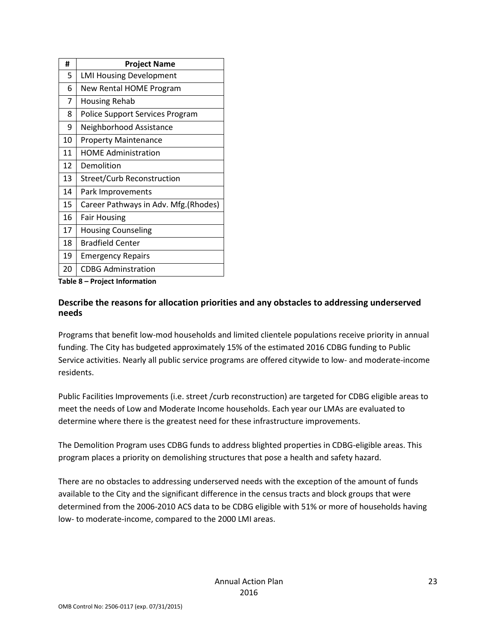| #  | <b>Project Name</b>                   |
|----|---------------------------------------|
| 5  | <b>LMI Housing Development</b>        |
| 6  | <b>New Rental HOME Program</b>        |
| 7  | Housing Rehab                         |
| 8  | Police Support Services Program       |
| 9  | Neighborhood Assistance               |
| 10 | <b>Property Maintenance</b>           |
| 11 | <b>HOME Administration</b>            |
| 12 | Demolition                            |
| 13 | Street/Curb Reconstruction            |
| 14 | Park Improvements                     |
| 15 | Career Pathways in Adv. Mfg. (Rhodes) |
| 16 | <b>Fair Housing</b>                   |
| 17 | <b>Housing Counseling</b>             |
| 18 | <b>Bradfield Center</b>               |
| 19 | <b>Emergency Repairs</b>              |
| 20 | <b>CDBG Adminstration</b>             |

**Table 8 – Project Information**

#### **Describe the reasons for allocation priorities and any obstacles to addressing underserved needs**

Programs that benefit low-mod households and limited clientele populations receive priority in annual funding. The City has budgeted approximately 15% of the estimated 2016 CDBG funding to Public Service activities. Nearly all public service programs are offered citywide to low- and moderate-income residents.

Public Facilities Improvements (i.e. street /curb reconstruction) are targeted for CDBG eligible areas to meet the needs of Low and Moderate Income households. Each year our LMAs are evaluated to determine where there is the greatest need for these infrastructure improvements.

The Demolition Program uses CDBG funds to address blighted properties in CDBG-eligible areas. This program places a priority on demolishing structures that pose a health and safety hazard.

There are no obstacles to addressing underserved needs with the exception of the amount of funds available to the City and the significant difference in the census tracts and block groups that were determined from the 2006-2010 ACS data to be CDBG eligible with 51% or more of households having low- to moderate-income, compared to the 2000 LMI areas.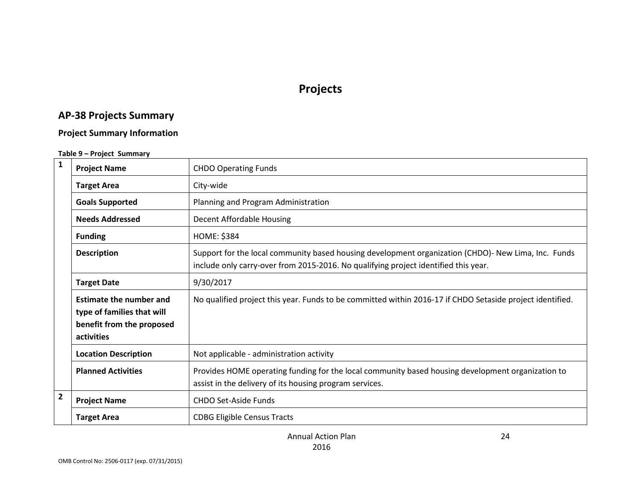# **Projects**

# **AP-38 Projects Summary**

## **Project Summary Information**

#### **Table 9 – Project Summary**

| $\mathbf{1}$   | <b>Project Name</b>                                                                                     | <b>CHDO Operating Funds</b>                                                                                                                                                                |
|----------------|---------------------------------------------------------------------------------------------------------|--------------------------------------------------------------------------------------------------------------------------------------------------------------------------------------------|
|                | <b>Target Area</b>                                                                                      | City-wide                                                                                                                                                                                  |
|                | <b>Goals Supported</b>                                                                                  | Planning and Program Administration                                                                                                                                                        |
|                | <b>Needs Addressed</b>                                                                                  | Decent Affordable Housing                                                                                                                                                                  |
|                | <b>Funding</b>                                                                                          | <b>HOME: \$384</b>                                                                                                                                                                         |
|                | <b>Description</b>                                                                                      | Support for the local community based housing development organization (CHDO)- New Lima, Inc. Funds<br>include only carry-over from 2015-2016. No qualifying project identified this year. |
|                | <b>Target Date</b>                                                                                      | 9/30/2017                                                                                                                                                                                  |
|                | <b>Estimate the number and</b><br>type of families that will<br>benefit from the proposed<br>activities | No qualified project this year. Funds to be committed within 2016-17 if CHDO Setaside project identified.                                                                                  |
|                | <b>Location Description</b>                                                                             | Not applicable - administration activity                                                                                                                                                   |
|                | <b>Planned Activities</b>                                                                               | Provides HOME operating funding for the local community based housing development organization to<br>assist in the delivery of its housing program services.                               |
| $\overline{2}$ | <b>Project Name</b>                                                                                     | <b>CHDO Set-Aside Funds</b>                                                                                                                                                                |
|                | <b>Target Area</b>                                                                                      | <b>CDBG Eligible Census Tracts</b>                                                                                                                                                         |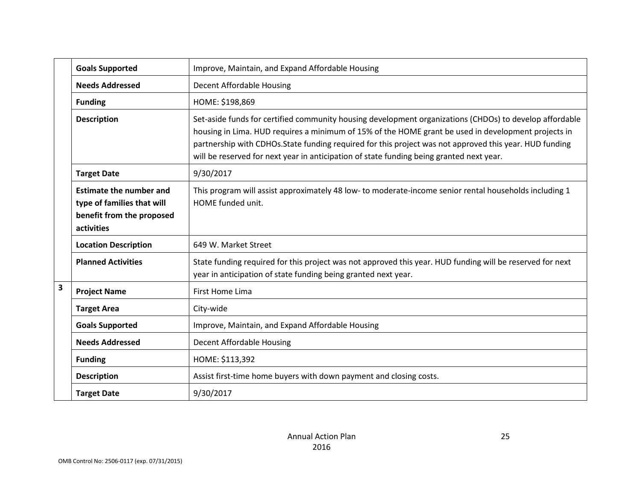|                         | <b>Goals Supported</b>                                                                                  | Improve, Maintain, and Expand Affordable Housing                                                                                                                                                                                                                                                                                                                                                                      |
|-------------------------|---------------------------------------------------------------------------------------------------------|-----------------------------------------------------------------------------------------------------------------------------------------------------------------------------------------------------------------------------------------------------------------------------------------------------------------------------------------------------------------------------------------------------------------------|
|                         | <b>Needs Addressed</b>                                                                                  | Decent Affordable Housing                                                                                                                                                                                                                                                                                                                                                                                             |
|                         | <b>Funding</b>                                                                                          | HOME: \$198,869                                                                                                                                                                                                                                                                                                                                                                                                       |
|                         | <b>Description</b>                                                                                      | Set-aside funds for certified community housing development organizations (CHDOs) to develop affordable<br>housing in Lima. HUD requires a minimum of 15% of the HOME grant be used in development projects in<br>partnership with CDHOs. State funding required for this project was not approved this year. HUD funding<br>will be reserved for next year in anticipation of state funding being granted next year. |
|                         | <b>Target Date</b>                                                                                      | 9/30/2017                                                                                                                                                                                                                                                                                                                                                                                                             |
|                         | <b>Estimate the number and</b><br>type of families that will<br>benefit from the proposed<br>activities | This program will assist approximately 48 low- to moderate-income senior rental households including 1<br>HOME funded unit.                                                                                                                                                                                                                                                                                           |
|                         | <b>Location Description</b>                                                                             | 649 W. Market Street                                                                                                                                                                                                                                                                                                                                                                                                  |
|                         | <b>Planned Activities</b>                                                                               | State funding required for this project was not approved this year. HUD funding will be reserved for next<br>year in anticipation of state funding being granted next year.                                                                                                                                                                                                                                           |
| $\overline{\mathbf{3}}$ | <b>Project Name</b>                                                                                     | First Home Lima                                                                                                                                                                                                                                                                                                                                                                                                       |
|                         | <b>Target Area</b>                                                                                      | City-wide                                                                                                                                                                                                                                                                                                                                                                                                             |
|                         | <b>Goals Supported</b>                                                                                  | Improve, Maintain, and Expand Affordable Housing                                                                                                                                                                                                                                                                                                                                                                      |
|                         | <b>Needs Addressed</b>                                                                                  | Decent Affordable Housing                                                                                                                                                                                                                                                                                                                                                                                             |
|                         | <b>Funding</b>                                                                                          | HOME: \$113,392                                                                                                                                                                                                                                                                                                                                                                                                       |
|                         | <b>Description</b>                                                                                      | Assist first-time home buyers with down payment and closing costs.                                                                                                                                                                                                                                                                                                                                                    |
|                         | <b>Target Date</b>                                                                                      | 9/30/2017                                                                                                                                                                                                                                                                                                                                                                                                             |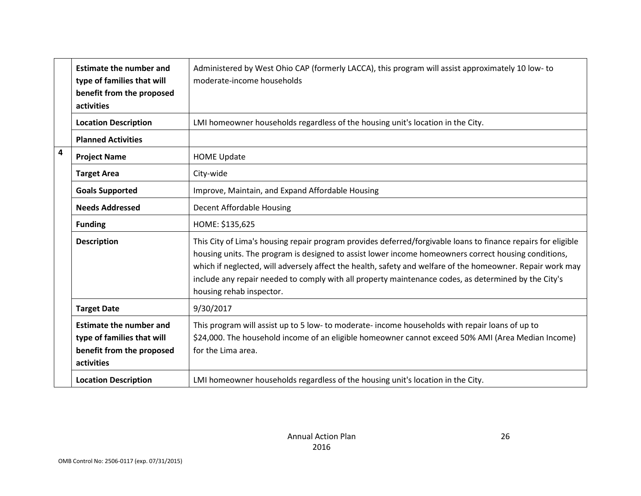|                         | <b>Estimate the number and</b><br>type of families that will<br>benefit from the proposed<br>activities | Administered by West Ohio CAP (formerly LACCA), this program will assist approximately 10 low- to<br>moderate-income households                                                                                                                                                                                                                                                                                                                                         |
|-------------------------|---------------------------------------------------------------------------------------------------------|-------------------------------------------------------------------------------------------------------------------------------------------------------------------------------------------------------------------------------------------------------------------------------------------------------------------------------------------------------------------------------------------------------------------------------------------------------------------------|
|                         | <b>Location Description</b>                                                                             | LMI homeowner households regardless of the housing unit's location in the City.                                                                                                                                                                                                                                                                                                                                                                                         |
|                         | <b>Planned Activities</b>                                                                               |                                                                                                                                                                                                                                                                                                                                                                                                                                                                         |
| $\overline{\mathbf{4}}$ | <b>Project Name</b>                                                                                     | <b>HOME Update</b>                                                                                                                                                                                                                                                                                                                                                                                                                                                      |
|                         | <b>Target Area</b>                                                                                      | City-wide                                                                                                                                                                                                                                                                                                                                                                                                                                                               |
|                         | <b>Goals Supported</b>                                                                                  | Improve, Maintain, and Expand Affordable Housing                                                                                                                                                                                                                                                                                                                                                                                                                        |
|                         | <b>Needs Addressed</b>                                                                                  | Decent Affordable Housing                                                                                                                                                                                                                                                                                                                                                                                                                                               |
|                         | <b>Funding</b>                                                                                          | HOME: \$135,625                                                                                                                                                                                                                                                                                                                                                                                                                                                         |
|                         | <b>Description</b>                                                                                      | This City of Lima's housing repair program provides deferred/forgivable loans to finance repairs for eligible<br>housing units. The program is designed to assist lower income homeowners correct housing conditions,<br>which if neglected, will adversely affect the health, safety and welfare of the homeowner. Repair work may<br>include any repair needed to comply with all property maintenance codes, as determined by the City's<br>housing rehab inspector. |
|                         | <b>Target Date</b>                                                                                      | 9/30/2017                                                                                                                                                                                                                                                                                                                                                                                                                                                               |
|                         | <b>Estimate the number and</b><br>type of families that will<br>benefit from the proposed<br>activities | This program will assist up to 5 low- to moderate-income households with repair loans of up to<br>\$24,000. The household income of an eligible homeowner cannot exceed 50% AMI (Area Median Income)<br>for the Lima area.                                                                                                                                                                                                                                              |
|                         | <b>Location Description</b>                                                                             | LMI homeowner households regardless of the housing unit's location in the City.                                                                                                                                                                                                                                                                                                                                                                                         |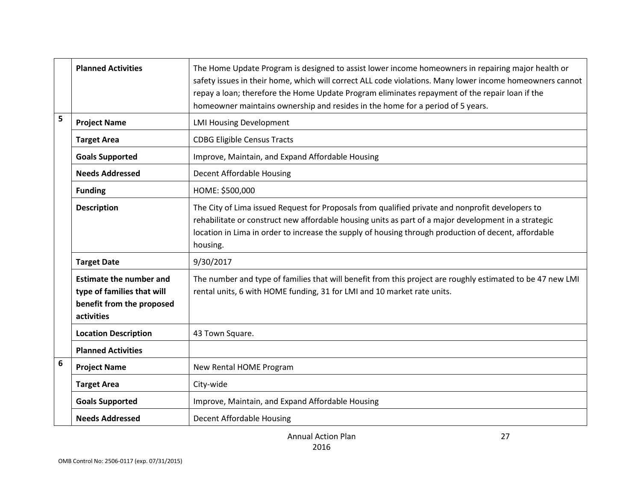|   | <b>Planned Activities</b>                                                                               | The Home Update Program is designed to assist lower income homeowners in repairing major health or<br>safety issues in their home, which will correct ALL code violations. Many lower income homeowners cannot<br>repay a loan; therefore the Home Update Program eliminates repayment of the repair loan if the<br>homeowner maintains ownership and resides in the home for a period of 5 years. |
|---|---------------------------------------------------------------------------------------------------------|----------------------------------------------------------------------------------------------------------------------------------------------------------------------------------------------------------------------------------------------------------------------------------------------------------------------------------------------------------------------------------------------------|
| 5 | <b>Project Name</b>                                                                                     | <b>LMI Housing Development</b>                                                                                                                                                                                                                                                                                                                                                                     |
|   | <b>Target Area</b>                                                                                      | <b>CDBG Eligible Census Tracts</b>                                                                                                                                                                                                                                                                                                                                                                 |
|   | <b>Goals Supported</b>                                                                                  | Improve, Maintain, and Expand Affordable Housing                                                                                                                                                                                                                                                                                                                                                   |
|   | <b>Needs Addressed</b>                                                                                  | Decent Affordable Housing                                                                                                                                                                                                                                                                                                                                                                          |
|   | <b>Funding</b>                                                                                          | HOME: \$500,000                                                                                                                                                                                                                                                                                                                                                                                    |
|   | <b>Description</b>                                                                                      | The City of Lima issued Request for Proposals from qualified private and nonprofit developers to<br>rehabilitate or construct new affordable housing units as part of a major development in a strategic<br>location in Lima in order to increase the supply of housing through production of decent, affordable<br>housing.                                                                       |
|   | <b>Target Date</b>                                                                                      | 9/30/2017                                                                                                                                                                                                                                                                                                                                                                                          |
|   | <b>Estimate the number and</b><br>type of families that will<br>benefit from the proposed<br>activities | The number and type of families that will benefit from this project are roughly estimated to be 47 new LMI<br>rental units, 6 with HOME funding, 31 for LMI and 10 market rate units.                                                                                                                                                                                                              |
|   | <b>Location Description</b>                                                                             | 43 Town Square.                                                                                                                                                                                                                                                                                                                                                                                    |
|   | <b>Planned Activities</b>                                                                               |                                                                                                                                                                                                                                                                                                                                                                                                    |
| 6 | <b>Project Name</b>                                                                                     | New Rental HOME Program                                                                                                                                                                                                                                                                                                                                                                            |
|   | <b>Target Area</b>                                                                                      | City-wide                                                                                                                                                                                                                                                                                                                                                                                          |
|   | <b>Goals Supported</b>                                                                                  | Improve, Maintain, and Expand Affordable Housing                                                                                                                                                                                                                                                                                                                                                   |
|   | <b>Needs Addressed</b>                                                                                  | Decent Affordable Housing                                                                                                                                                                                                                                                                                                                                                                          |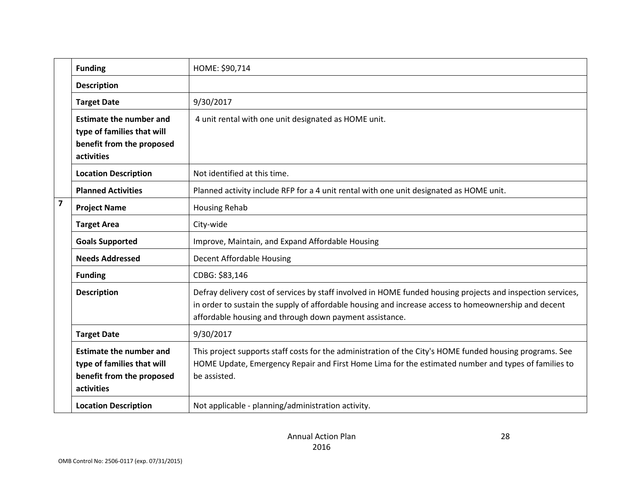|                         | <b>Funding</b>                                                                                          | HOME: \$90,714                                                                                                                                                                                                                                                                 |
|-------------------------|---------------------------------------------------------------------------------------------------------|--------------------------------------------------------------------------------------------------------------------------------------------------------------------------------------------------------------------------------------------------------------------------------|
|                         | <b>Description</b>                                                                                      |                                                                                                                                                                                                                                                                                |
|                         | <b>Target Date</b>                                                                                      | 9/30/2017                                                                                                                                                                                                                                                                      |
|                         | <b>Estimate the number and</b><br>type of families that will<br>benefit from the proposed<br>activities | 4 unit rental with one unit designated as HOME unit.                                                                                                                                                                                                                           |
|                         | <b>Location Description</b>                                                                             | Not identified at this time.                                                                                                                                                                                                                                                   |
|                         | <b>Planned Activities</b>                                                                               | Planned activity include RFP for a 4 unit rental with one unit designated as HOME unit.                                                                                                                                                                                        |
| $\overline{\mathbf{z}}$ | <b>Project Name</b>                                                                                     | <b>Housing Rehab</b>                                                                                                                                                                                                                                                           |
|                         | <b>Target Area</b>                                                                                      | City-wide                                                                                                                                                                                                                                                                      |
|                         | <b>Goals Supported</b>                                                                                  | Improve, Maintain, and Expand Affordable Housing                                                                                                                                                                                                                               |
|                         | <b>Needs Addressed</b>                                                                                  | Decent Affordable Housing                                                                                                                                                                                                                                                      |
|                         | <b>Funding</b>                                                                                          | CDBG: \$83,146                                                                                                                                                                                                                                                                 |
|                         | <b>Description</b>                                                                                      | Defray delivery cost of services by staff involved in HOME funded housing projects and inspection services,<br>in order to sustain the supply of affordable housing and increase access to homeownership and decent<br>affordable housing and through down payment assistance. |
|                         | <b>Target Date</b>                                                                                      | 9/30/2017                                                                                                                                                                                                                                                                      |
|                         | <b>Estimate the number and</b><br>type of families that will<br>benefit from the proposed<br>activities | This project supports staff costs for the administration of the City's HOME funded housing programs. See<br>HOME Update, Emergency Repair and First Home Lima for the estimated number and types of families to<br>be assisted.                                                |
|                         | <b>Location Description</b>                                                                             | Not applicable - planning/administration activity.                                                                                                                                                                                                                             |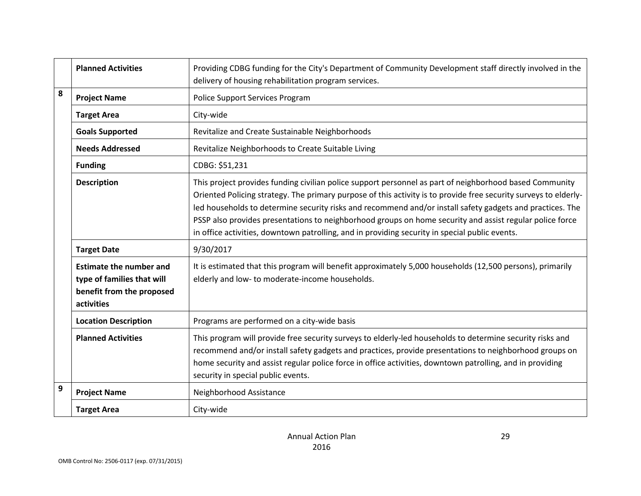|                           | <b>Planned Activities</b>                                                                               | Providing CDBG funding for the City's Department of Community Development staff directly involved in the<br>delivery of housing rehabilitation program services.                                                                                                                                                                                                                                                                                                                                                                                       |  |
|---------------------------|---------------------------------------------------------------------------------------------------------|--------------------------------------------------------------------------------------------------------------------------------------------------------------------------------------------------------------------------------------------------------------------------------------------------------------------------------------------------------------------------------------------------------------------------------------------------------------------------------------------------------------------------------------------------------|--|
| 8                         | <b>Project Name</b>                                                                                     | Police Support Services Program                                                                                                                                                                                                                                                                                                                                                                                                                                                                                                                        |  |
|                           | <b>Target Area</b><br>City-wide                                                                         |                                                                                                                                                                                                                                                                                                                                                                                                                                                                                                                                                        |  |
|                           | <b>Goals Supported</b><br>Revitalize and Create Sustainable Neighborhoods                               |                                                                                                                                                                                                                                                                                                                                                                                                                                                                                                                                                        |  |
|                           | <b>Needs Addressed</b>                                                                                  | Revitalize Neighborhoods to Create Suitable Living                                                                                                                                                                                                                                                                                                                                                                                                                                                                                                     |  |
|                           | <b>Funding</b>                                                                                          | CDBG: \$51,231                                                                                                                                                                                                                                                                                                                                                                                                                                                                                                                                         |  |
| <b>Description</b>        |                                                                                                         | This project provides funding civilian police support personnel as part of neighborhood based Community<br>Oriented Policing strategy. The primary purpose of this activity is to provide free security surveys to elderly-<br>led households to determine security risks and recommend and/or install safety gadgets and practices. The<br>PSSP also provides presentations to neighborhood groups on home security and assist regular police force<br>in office activities, downtown patrolling, and in providing security in special public events. |  |
|                           | <b>Target Date</b>                                                                                      | 9/30/2017                                                                                                                                                                                                                                                                                                                                                                                                                                                                                                                                              |  |
|                           | <b>Estimate the number and</b><br>type of families that will<br>benefit from the proposed<br>activities | It is estimated that this program will benefit approximately 5,000 households (12,500 persons), primarily<br>elderly and low- to moderate-income households.                                                                                                                                                                                                                                                                                                                                                                                           |  |
|                           | <b>Location Description</b>                                                                             | Programs are performed on a city-wide basis                                                                                                                                                                                                                                                                                                                                                                                                                                                                                                            |  |
| <b>Planned Activities</b> |                                                                                                         | This program will provide free security surveys to elderly-led households to determine security risks and<br>recommend and/or install safety gadgets and practices, provide presentations to neighborhood groups on<br>home security and assist regular police force in office activities, downtown patrolling, and in providing<br>security in special public events.                                                                                                                                                                                 |  |
| 9                         | <b>Project Name</b>                                                                                     | Neighborhood Assistance                                                                                                                                                                                                                                                                                                                                                                                                                                                                                                                                |  |
|                           | <b>Target Area</b>                                                                                      | City-wide                                                                                                                                                                                                                                                                                                                                                                                                                                                                                                                                              |  |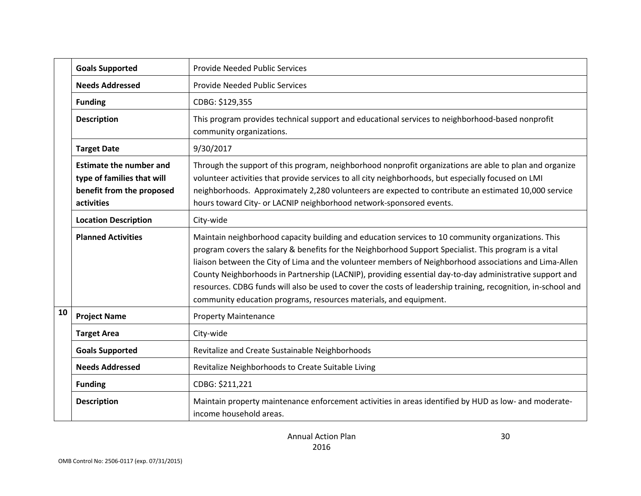|                                                                                                                                                                                | <b>Goals Supported</b>    | Provide Needed Public Services                                                                                                                                                                                                                                                                                                                                                                                                                                                                                                                                                                                         |
|--------------------------------------------------------------------------------------------------------------------------------------------------------------------------------|---------------------------|------------------------------------------------------------------------------------------------------------------------------------------------------------------------------------------------------------------------------------------------------------------------------------------------------------------------------------------------------------------------------------------------------------------------------------------------------------------------------------------------------------------------------------------------------------------------------------------------------------------------|
|                                                                                                                                                                                | <b>Needs Addressed</b>    | Provide Needed Public Services                                                                                                                                                                                                                                                                                                                                                                                                                                                                                                                                                                                         |
|                                                                                                                                                                                | <b>Funding</b>            | CDBG: \$129,355                                                                                                                                                                                                                                                                                                                                                                                                                                                                                                                                                                                                        |
|                                                                                                                                                                                | <b>Description</b>        | This program provides technical support and educational services to neighborhood-based nonprofit<br>community organizations.                                                                                                                                                                                                                                                                                                                                                                                                                                                                                           |
| 9/30/2017<br><b>Target Date</b>                                                                                                                                                |                           |                                                                                                                                                                                                                                                                                                                                                                                                                                                                                                                                                                                                                        |
| <b>Estimate the number and</b><br>type of families that will<br>benefit from the proposed<br>hours toward City- or LACNIP neighborhood network-sponsored events.<br>activities |                           | Through the support of this program, neighborhood nonprofit organizations are able to plan and organize<br>volunteer activities that provide services to all city neighborhoods, but especially focused on LMI<br>neighborhoods. Approximately 2,280 volunteers are expected to contribute an estimated 10,000 service                                                                                                                                                                                                                                                                                                 |
| <b>Location Description</b><br>City-wide                                                                                                                                       |                           |                                                                                                                                                                                                                                                                                                                                                                                                                                                                                                                                                                                                                        |
|                                                                                                                                                                                | <b>Planned Activities</b> | Maintain neighborhood capacity building and education services to 10 community organizations. This<br>program covers the salary & benefits for the Neighborhood Support Specialist. This program is a vital<br>liaison between the City of Lima and the volunteer members of Neighborhood associations and Lima-Allen<br>County Neighborhoods in Partnership (LACNIP), providing essential day-to-day administrative support and<br>resources. CDBG funds will also be used to cover the costs of leadership training, recognition, in-school and<br>community education programs, resources materials, and equipment. |
| 10                                                                                                                                                                             | <b>Project Name</b>       | <b>Property Maintenance</b>                                                                                                                                                                                                                                                                                                                                                                                                                                                                                                                                                                                            |
|                                                                                                                                                                                | <b>Target Area</b>        | City-wide                                                                                                                                                                                                                                                                                                                                                                                                                                                                                                                                                                                                              |
| Revitalize and Create Sustainable Neighborhoods<br><b>Goals Supported</b>                                                                                                      |                           |                                                                                                                                                                                                                                                                                                                                                                                                                                                                                                                                                                                                                        |
| <b>Needs Addressed</b><br>Revitalize Neighborhoods to Create Suitable Living                                                                                                   |                           |                                                                                                                                                                                                                                                                                                                                                                                                                                                                                                                                                                                                                        |
| CDBG: \$211,221<br><b>Funding</b>                                                                                                                                              |                           |                                                                                                                                                                                                                                                                                                                                                                                                                                                                                                                                                                                                                        |
|                                                                                                                                                                                | <b>Description</b>        | Maintain property maintenance enforcement activities in areas identified by HUD as low- and moderate-<br>income household areas.                                                                                                                                                                                                                                                                                                                                                                                                                                                                                       |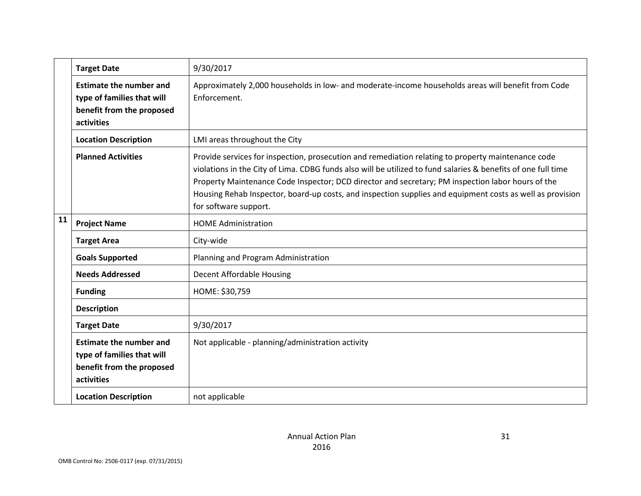| 9/30/2017<br><b>Target Date</b>                              |                                                                                                         |                                                                                                                                                                                                                                                                                                                                                                                                                                                                |
|--------------------------------------------------------------|---------------------------------------------------------------------------------------------------------|----------------------------------------------------------------------------------------------------------------------------------------------------------------------------------------------------------------------------------------------------------------------------------------------------------------------------------------------------------------------------------------------------------------------------------------------------------------|
|                                                              | <b>Estimate the number and</b><br>type of families that will<br>benefit from the proposed<br>activities | Approximately 2,000 households in low- and moderate-income households areas will benefit from Code<br>Enforcement.                                                                                                                                                                                                                                                                                                                                             |
| LMI areas throughout the City<br><b>Location Description</b> |                                                                                                         |                                                                                                                                                                                                                                                                                                                                                                                                                                                                |
|                                                              | <b>Planned Activities</b>                                                                               | Provide services for inspection, prosecution and remediation relating to property maintenance code<br>violations in the City of Lima. CDBG funds also will be utilized to fund salaries & benefits of one full time<br>Property Maintenance Code Inspector; DCD director and secretary; PM inspection labor hours of the<br>Housing Rehab Inspector, board-up costs, and inspection supplies and equipment costs as well as provision<br>for software support. |
| 11<br><b>Project Name</b><br><b>HOME Administration</b>      |                                                                                                         |                                                                                                                                                                                                                                                                                                                                                                                                                                                                |
|                                                              | <b>Target Area</b>                                                                                      | City-wide                                                                                                                                                                                                                                                                                                                                                                                                                                                      |
|                                                              | <b>Goals Supported</b>                                                                                  | Planning and Program Administration                                                                                                                                                                                                                                                                                                                                                                                                                            |
|                                                              | <b>Needs Addressed</b>                                                                                  | Decent Affordable Housing                                                                                                                                                                                                                                                                                                                                                                                                                                      |
|                                                              | <b>Funding</b>                                                                                          | HOME: \$30,759                                                                                                                                                                                                                                                                                                                                                                                                                                                 |
|                                                              | <b>Description</b>                                                                                      |                                                                                                                                                                                                                                                                                                                                                                                                                                                                |
|                                                              | <b>Target Date</b>                                                                                      | 9/30/2017                                                                                                                                                                                                                                                                                                                                                                                                                                                      |
|                                                              | <b>Estimate the number and</b><br>type of families that will<br>benefit from the proposed<br>activities | Not applicable - planning/administration activity                                                                                                                                                                                                                                                                                                                                                                                                              |
|                                                              | <b>Location Description</b>                                                                             | not applicable                                                                                                                                                                                                                                                                                                                                                                                                                                                 |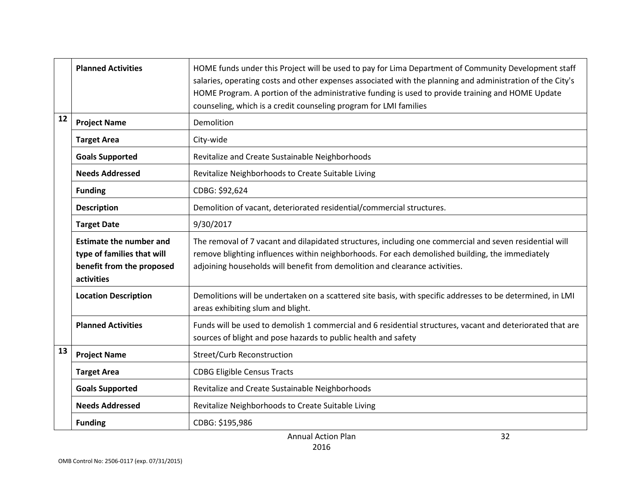|    | <b>Planned Activities</b>                                                                                                                                                                                                                                                                                                                                                                            | HOME funds under this Project will be used to pay for Lima Department of Community Development staff<br>salaries, operating costs and other expenses associated with the planning and administration of the City's<br>HOME Program. A portion of the administrative funding is used to provide training and HOME Update<br>counseling, which is a credit counseling program for LMI families |  |
|----|------------------------------------------------------------------------------------------------------------------------------------------------------------------------------------------------------------------------------------------------------------------------------------------------------------------------------------------------------------------------------------------------------|----------------------------------------------------------------------------------------------------------------------------------------------------------------------------------------------------------------------------------------------------------------------------------------------------------------------------------------------------------------------------------------------|--|
| 12 | <b>Project Name</b>                                                                                                                                                                                                                                                                                                                                                                                  | Demolition                                                                                                                                                                                                                                                                                                                                                                                   |  |
|    | <b>Target Area</b>                                                                                                                                                                                                                                                                                                                                                                                   | City-wide                                                                                                                                                                                                                                                                                                                                                                                    |  |
|    | <b>Goals Supported</b>                                                                                                                                                                                                                                                                                                                                                                               | Revitalize and Create Sustainable Neighborhoods                                                                                                                                                                                                                                                                                                                                              |  |
|    | <b>Needs Addressed</b>                                                                                                                                                                                                                                                                                                                                                                               | Revitalize Neighborhoods to Create Suitable Living                                                                                                                                                                                                                                                                                                                                           |  |
|    | <b>Funding</b>                                                                                                                                                                                                                                                                                                                                                                                       | CDBG: \$92,624                                                                                                                                                                                                                                                                                                                                                                               |  |
|    | <b>Description</b>                                                                                                                                                                                                                                                                                                                                                                                   | Demolition of vacant, deteriorated residential/commercial structures.                                                                                                                                                                                                                                                                                                                        |  |
|    | <b>Target Date</b>                                                                                                                                                                                                                                                                                                                                                                                   | 9/30/2017                                                                                                                                                                                                                                                                                                                                                                                    |  |
|    | <b>Estimate the number and</b><br>The removal of 7 vacant and dilapidated structures, including one commercial and seven residential will<br>remove blighting influences within neighborhoods. For each demolished building, the immediately<br>type of families that will<br>adjoining households will benefit from demolition and clearance activities.<br>benefit from the proposed<br>activities |                                                                                                                                                                                                                                                                                                                                                                                              |  |
|    | <b>Location Description</b>                                                                                                                                                                                                                                                                                                                                                                          | Demolitions will be undertaken on a scattered site basis, with specific addresses to be determined, in LMI<br>areas exhibiting slum and blight.                                                                                                                                                                                                                                              |  |
|    | <b>Planned Activities</b>                                                                                                                                                                                                                                                                                                                                                                            | Funds will be used to demolish 1 commercial and 6 residential structures, vacant and deteriorated that are<br>sources of blight and pose hazards to public health and safety                                                                                                                                                                                                                 |  |
| 13 | <b>Project Name</b>                                                                                                                                                                                                                                                                                                                                                                                  | <b>Street/Curb Reconstruction</b>                                                                                                                                                                                                                                                                                                                                                            |  |
|    | <b>Target Area</b>                                                                                                                                                                                                                                                                                                                                                                                   | <b>CDBG Eligible Census Tracts</b>                                                                                                                                                                                                                                                                                                                                                           |  |
|    | <b>Goals Supported</b><br>Revitalize and Create Sustainable Neighborhoods                                                                                                                                                                                                                                                                                                                            |                                                                                                                                                                                                                                                                                                                                                                                              |  |
|    | <b>Needs Addressed</b>                                                                                                                                                                                                                                                                                                                                                                               | Revitalize Neighborhoods to Create Suitable Living                                                                                                                                                                                                                                                                                                                                           |  |
|    | <b>Funding</b>                                                                                                                                                                                                                                                                                                                                                                                       | CDBG: \$195,986                                                                                                                                                                                                                                                                                                                                                                              |  |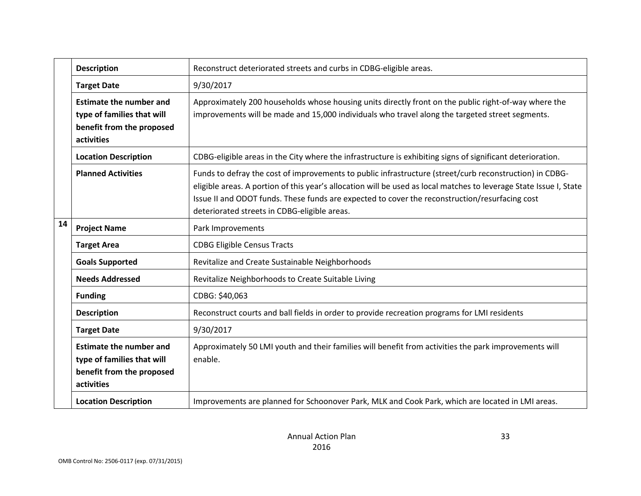|                                                                                                         | <b>Description</b>                                                                                      | Reconstruct deteriorated streets and curbs in CDBG-eligible areas.                                                                                                                                                                                                                                                                                                              |
|---------------------------------------------------------------------------------------------------------|---------------------------------------------------------------------------------------------------------|---------------------------------------------------------------------------------------------------------------------------------------------------------------------------------------------------------------------------------------------------------------------------------------------------------------------------------------------------------------------------------|
| 9/30/2017<br><b>Target Date</b>                                                                         |                                                                                                         |                                                                                                                                                                                                                                                                                                                                                                                 |
| <b>Estimate the number and</b><br>type of families that will<br>benefit from the proposed<br>activities |                                                                                                         | Approximately 200 households whose housing units directly front on the public right-of-way where the<br>improvements will be made and 15,000 individuals who travel along the targeted street segments.                                                                                                                                                                         |
| <b>Location Description</b>                                                                             |                                                                                                         | CDBG-eligible areas in the City where the infrastructure is exhibiting signs of significant deterioration.                                                                                                                                                                                                                                                                      |
|                                                                                                         | <b>Planned Activities</b>                                                                               | Funds to defray the cost of improvements to public infrastructure (street/curb reconstruction) in CDBG-<br>eligible areas. A portion of this year's allocation will be used as local matches to leverage State Issue I, State<br>Issue II and ODOT funds. These funds are expected to cover the reconstruction/resurfacing cost<br>deteriorated streets in CDBG-eligible areas. |
| 14<br><b>Project Name</b><br>Park Improvements                                                          |                                                                                                         |                                                                                                                                                                                                                                                                                                                                                                                 |
|                                                                                                         | <b>Target Area</b>                                                                                      | <b>CDBG Eligible Census Tracts</b>                                                                                                                                                                                                                                                                                                                                              |
|                                                                                                         | <b>Goals Supported</b>                                                                                  | Revitalize and Create Sustainable Neighborhoods                                                                                                                                                                                                                                                                                                                                 |
|                                                                                                         | <b>Needs Addressed</b>                                                                                  | Revitalize Neighborhoods to Create Suitable Living                                                                                                                                                                                                                                                                                                                              |
|                                                                                                         | <b>Funding</b>                                                                                          | CDBG: \$40,063                                                                                                                                                                                                                                                                                                                                                                  |
|                                                                                                         | <b>Description</b>                                                                                      | Reconstruct courts and ball fields in order to provide recreation programs for LMI residents                                                                                                                                                                                                                                                                                    |
|                                                                                                         | <b>Target Date</b>                                                                                      | 9/30/2017                                                                                                                                                                                                                                                                                                                                                                       |
|                                                                                                         | <b>Estimate the number and</b><br>type of families that will<br>benefit from the proposed<br>activities | Approximately 50 LMI youth and their families will benefit from activities the park improvements will<br>enable.                                                                                                                                                                                                                                                                |
|                                                                                                         | <b>Location Description</b>                                                                             | Improvements are planned for Schoonover Park, MLK and Cook Park, which are located in LMI areas.                                                                                                                                                                                                                                                                                |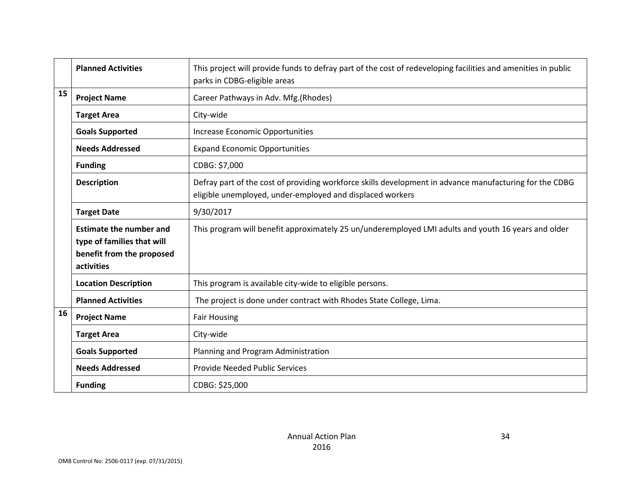|                                                                                                                                                                                                    | <b>Planned Activities</b>       | This project will provide funds to defray part of the cost of redeveloping facilities and amenities in public<br>parks in CDBG-eligible areas                        |  |
|----------------------------------------------------------------------------------------------------------------------------------------------------------------------------------------------------|---------------------------------|----------------------------------------------------------------------------------------------------------------------------------------------------------------------|--|
| 15                                                                                                                                                                                                 | <b>Project Name</b>             | Career Pathways in Adv. Mfg.(Rhodes)                                                                                                                                 |  |
|                                                                                                                                                                                                    | City-wide<br><b>Target Area</b> |                                                                                                                                                                      |  |
| <b>Goals Supported</b><br>Increase Economic Opportunities                                                                                                                                          |                                 |                                                                                                                                                                      |  |
|                                                                                                                                                                                                    | <b>Needs Addressed</b>          | <b>Expand Economic Opportunities</b>                                                                                                                                 |  |
|                                                                                                                                                                                                    | <b>Funding</b>                  | CDBG: \$7,000                                                                                                                                                        |  |
|                                                                                                                                                                                                    | <b>Description</b>              | Defray part of the cost of providing workforce skills development in advance manufacturing for the CDBG<br>eligible unemployed, under-employed and displaced workers |  |
|                                                                                                                                                                                                    | <b>Target Date</b>              | 9/30/2017                                                                                                                                                            |  |
| <b>Estimate the number and</b><br>type of families that will<br>benefit from the proposed<br>activities<br><b>Location Description</b><br>This program is available city-wide to eligible persons. |                                 | This program will benefit approximately 25 un/underemployed LMI adults and youth 16 years and older                                                                  |  |
|                                                                                                                                                                                                    |                                 |                                                                                                                                                                      |  |
|                                                                                                                                                                                                    | <b>Planned Activities</b>       | The project is done under contract with Rhodes State College, Lima.                                                                                                  |  |
| 16                                                                                                                                                                                                 | <b>Project Name</b>             | <b>Fair Housing</b>                                                                                                                                                  |  |
|                                                                                                                                                                                                    | <b>Target Area</b>              | City-wide                                                                                                                                                            |  |
|                                                                                                                                                                                                    | <b>Goals Supported</b>          | Planning and Program Administration                                                                                                                                  |  |
|                                                                                                                                                                                                    | <b>Needs Addressed</b>          | Provide Needed Public Services                                                                                                                                       |  |
|                                                                                                                                                                                                    | <b>Funding</b>                  | CDBG: \$25,000                                                                                                                                                       |  |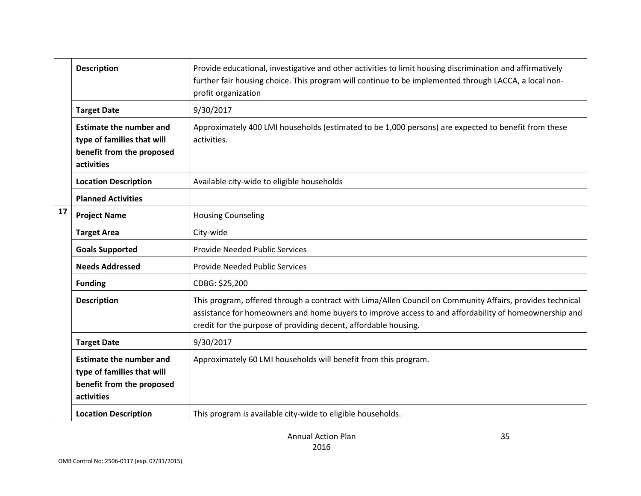| <b>Description</b><br>profit organization |                                                                                                         | Provide educational, investigative and other activities to limit housing discrimination and affirmatively<br>further fair housing choice. This program will continue to be implemented through LACCA, a local non-                                                                    |
|-------------------------------------------|---------------------------------------------------------------------------------------------------------|---------------------------------------------------------------------------------------------------------------------------------------------------------------------------------------------------------------------------------------------------------------------------------------|
|                                           | <b>Target Date</b>                                                                                      | 9/30/2017                                                                                                                                                                                                                                                                             |
|                                           | <b>Estimate the number and</b><br>type of families that will<br>benefit from the proposed<br>activities | Approximately 400 LMI households (estimated to be 1,000 persons) are expected to benefit from these<br>activities.                                                                                                                                                                    |
|                                           | <b>Location Description</b>                                                                             | Available city-wide to eligible households                                                                                                                                                                                                                                            |
|                                           | <b>Planned Activities</b>                                                                               |                                                                                                                                                                                                                                                                                       |
| 17                                        | <b>Project Name</b>                                                                                     | <b>Housing Counseling</b>                                                                                                                                                                                                                                                             |
|                                           | <b>Target Area</b>                                                                                      | City-wide                                                                                                                                                                                                                                                                             |
|                                           | <b>Goals Supported</b>                                                                                  | <b>Provide Needed Public Services</b>                                                                                                                                                                                                                                                 |
|                                           | <b>Needs Addressed</b>                                                                                  | <b>Provide Needed Public Services</b>                                                                                                                                                                                                                                                 |
|                                           | <b>Funding</b>                                                                                          | CDBG: \$25,200                                                                                                                                                                                                                                                                        |
|                                           | <b>Description</b>                                                                                      | This program, offered through a contract with Lima/Allen Council on Community Affairs, provides technical<br>assistance for homeowners and home buyers to improve access to and affordability of homeownership and<br>credit for the purpose of providing decent, affordable housing. |
|                                           | <b>Target Date</b>                                                                                      | 9/30/2017                                                                                                                                                                                                                                                                             |
|                                           | <b>Estimate the number and</b><br>type of families that will<br>benefit from the proposed<br>activities | Approximately 60 LMI households will benefit from this program.                                                                                                                                                                                                                       |
|                                           | <b>Location Description</b>                                                                             | This program is available city-wide to eligible households.                                                                                                                                                                                                                           |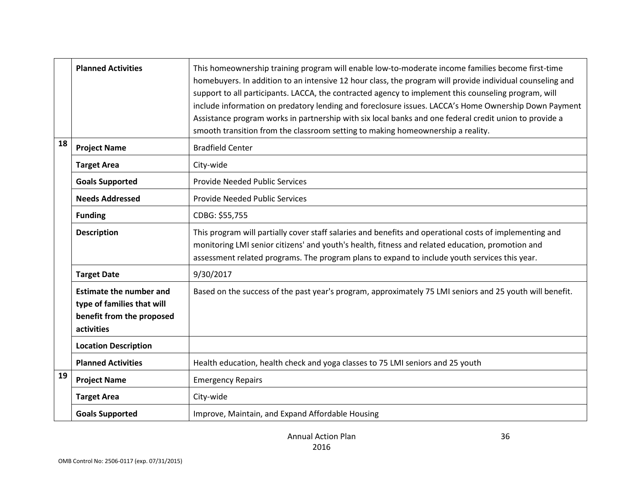|    | <b>Planned Activities</b>                                                                               | This homeownership training program will enable low-to-moderate income families become first-time<br>homebuyers. In addition to an intensive 12 hour class, the program will provide individual counseling and<br>support to all participants. LACCA, the contracted agency to implement this counseling program, will<br>include information on predatory lending and foreclosure issues. LACCA's Home Ownership Down Payment<br>Assistance program works in partnership with six local banks and one federal credit union to provide a<br>smooth transition from the classroom setting to making homeownership a reality. |
|----|---------------------------------------------------------------------------------------------------------|-----------------------------------------------------------------------------------------------------------------------------------------------------------------------------------------------------------------------------------------------------------------------------------------------------------------------------------------------------------------------------------------------------------------------------------------------------------------------------------------------------------------------------------------------------------------------------------------------------------------------------|
| 18 | <b>Project Name</b>                                                                                     | <b>Bradfield Center</b>                                                                                                                                                                                                                                                                                                                                                                                                                                                                                                                                                                                                     |
|    | <b>Target Area</b>                                                                                      | City-wide                                                                                                                                                                                                                                                                                                                                                                                                                                                                                                                                                                                                                   |
|    | <b>Goals Supported</b>                                                                                  | <b>Provide Needed Public Services</b>                                                                                                                                                                                                                                                                                                                                                                                                                                                                                                                                                                                       |
|    | <b>Needs Addressed</b>                                                                                  | Provide Needed Public Services                                                                                                                                                                                                                                                                                                                                                                                                                                                                                                                                                                                              |
|    | <b>Funding</b>                                                                                          | CDBG: \$55,755                                                                                                                                                                                                                                                                                                                                                                                                                                                                                                                                                                                                              |
|    | <b>Description</b>                                                                                      | This program will partially cover staff salaries and benefits and operational costs of implementing and<br>monitoring LMI senior citizens' and youth's health, fitness and related education, promotion and<br>assessment related programs. The program plans to expand to include youth services this year.                                                                                                                                                                                                                                                                                                                |
|    | <b>Target Date</b>                                                                                      | 9/30/2017                                                                                                                                                                                                                                                                                                                                                                                                                                                                                                                                                                                                                   |
|    | <b>Estimate the number and</b><br>type of families that will<br>benefit from the proposed<br>activities | Based on the success of the past year's program, approximately 75 LMI seniors and 25 youth will benefit.                                                                                                                                                                                                                                                                                                                                                                                                                                                                                                                    |
|    | <b>Location Description</b>                                                                             |                                                                                                                                                                                                                                                                                                                                                                                                                                                                                                                                                                                                                             |
|    | <b>Planned Activities</b>                                                                               | Health education, health check and yoga classes to 75 LMI seniors and 25 youth                                                                                                                                                                                                                                                                                                                                                                                                                                                                                                                                              |
| 19 | <b>Project Name</b>                                                                                     | <b>Emergency Repairs</b>                                                                                                                                                                                                                                                                                                                                                                                                                                                                                                                                                                                                    |
|    | <b>Target Area</b>                                                                                      | City-wide                                                                                                                                                                                                                                                                                                                                                                                                                                                                                                                                                                                                                   |
|    | <b>Goals Supported</b>                                                                                  | Improve, Maintain, and Expand Affordable Housing                                                                                                                                                                                                                                                                                                                                                                                                                                                                                                                                                                            |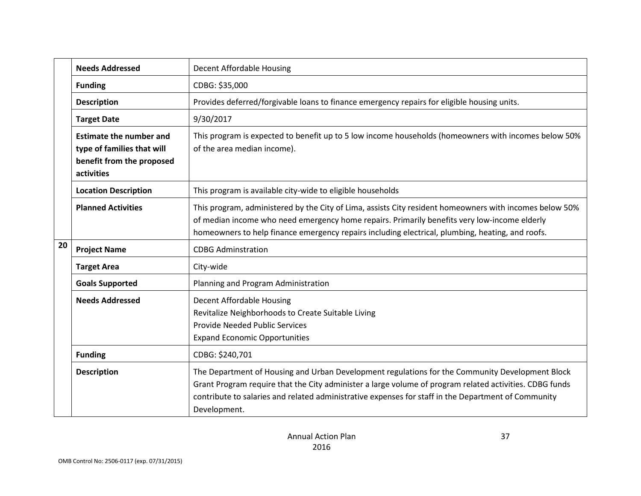|    | <b>Needs Addressed</b>                                                                                  | <b>Decent Affordable Housing</b>                                                                                                                                                                                                                                                                                                  |
|----|---------------------------------------------------------------------------------------------------------|-----------------------------------------------------------------------------------------------------------------------------------------------------------------------------------------------------------------------------------------------------------------------------------------------------------------------------------|
|    | <b>Funding</b>                                                                                          | CDBG: \$35,000                                                                                                                                                                                                                                                                                                                    |
|    | <b>Description</b>                                                                                      | Provides deferred/forgivable loans to finance emergency repairs for eligible housing units.                                                                                                                                                                                                                                       |
|    | <b>Target Date</b>                                                                                      | 9/30/2017                                                                                                                                                                                                                                                                                                                         |
|    | <b>Estimate the number and</b><br>type of families that will<br>benefit from the proposed<br>activities | This program is expected to benefit up to 5 low income households (homeowners with incomes below 50%<br>of the area median income).                                                                                                                                                                                               |
|    | <b>Location Description</b>                                                                             | This program is available city-wide to eligible households                                                                                                                                                                                                                                                                        |
|    | <b>Planned Activities</b>                                                                               | This program, administered by the City of Lima, assists City resident homeowners with incomes below 50%<br>of median income who need emergency home repairs. Primarily benefits very low-income elderly<br>homeowners to help finance emergency repairs including electrical, plumbing, heating, and roofs.                       |
| 20 | <b>Project Name</b>                                                                                     | <b>CDBG Adminstration</b>                                                                                                                                                                                                                                                                                                         |
|    | <b>Target Area</b>                                                                                      | City-wide                                                                                                                                                                                                                                                                                                                         |
|    | <b>Goals Supported</b>                                                                                  | Planning and Program Administration                                                                                                                                                                                                                                                                                               |
|    | <b>Needs Addressed</b>                                                                                  | Decent Affordable Housing<br>Revitalize Neighborhoods to Create Suitable Living<br><b>Provide Needed Public Services</b><br><b>Expand Economic Opportunities</b>                                                                                                                                                                  |
|    | <b>Funding</b>                                                                                          | CDBG: \$240,701                                                                                                                                                                                                                                                                                                                   |
|    | <b>Description</b>                                                                                      | The Department of Housing and Urban Development regulations for the Community Development Block<br>Grant Program require that the City administer a large volume of program related activities. CDBG funds<br>contribute to salaries and related administrative expenses for staff in the Department of Community<br>Development. |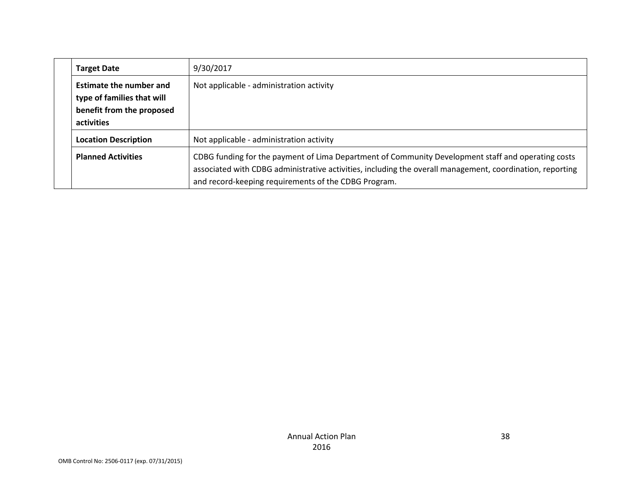| <b>Target Date</b>                                                                                      | 9/30/2017                                                                                                                                                                                                                                                               |
|---------------------------------------------------------------------------------------------------------|-------------------------------------------------------------------------------------------------------------------------------------------------------------------------------------------------------------------------------------------------------------------------|
| <b>Estimate the number and</b><br>type of families that will<br>benefit from the proposed<br>activities | Not applicable - administration activity                                                                                                                                                                                                                                |
| <b>Location Description</b>                                                                             | Not applicable - administration activity                                                                                                                                                                                                                                |
| <b>Planned Activities</b>                                                                               | CDBG funding for the payment of Lima Department of Community Development staff and operating costs<br>associated with CDBG administrative activities, including the overall management, coordination, reporting<br>and record-keeping requirements of the CDBG Program. |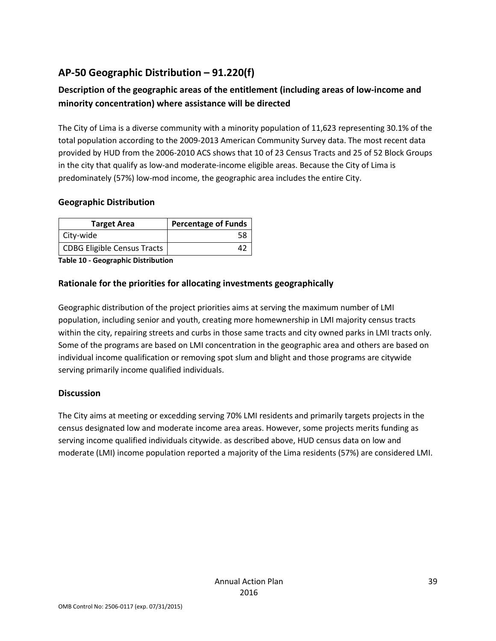# **AP-50 Geographic Distribution – 91.220(f)**

# **Description of the geographic areas of the entitlement (including areas of low-income and minority concentration) where assistance will be directed**

The City of Lima is a diverse community with a minority population of 11,623 representing 30.1% of the total population according to the 2009-2013 American Community Survey data. The most recent data provided by HUD from the 2006-2010 ACS shows that 10 of 23 Census Tracts and 25 of 52 Block Groups in the city that qualify as low-and moderate-income eligible areas. Because the City of Lima is predominately (57%) low-mod income, the geographic area includes the entire City.

### **Geographic Distribution**

| <b>Target Area</b>                 | <b>Percentage of Funds</b> |
|------------------------------------|----------------------------|
| City-wide                          |                            |
| <b>CDBG Eligible Census Tracts</b> |                            |

**Table 10 - Geographic Distribution** 

### **Rationale for the priorities for allocating investments geographically**

Geographic distribution of the project priorities aims at serving the maximum number of LMI population, including senior and youth, creating more homewnership in LMI majority census tracts within the city, repairing streets and curbs in those same tracts and city owned parks in LMI tracts only. Some of the programs are based on LMI concentration in the geographic area and others are based on individual income qualification or removing spot slum and blight and those programs are citywide serving primarily income qualified individuals.

#### **Discussion**

The City aims at meeting or excedding serving 70% LMI residents and primarily targets projects in the census designated low and moderate income area areas. However, some projects merits funding as serving income qualified individuals citywide. as described above, HUD census data on low and moderate (LMI) income population reported a majority of the Lima residents (57%) are considered LMI.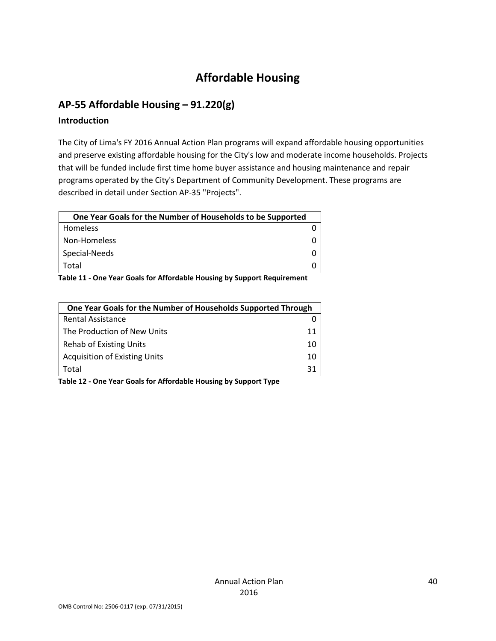# **Affordable Housing**

## **AP-55 Affordable Housing – 91.220(g)**

### **Introduction**

The City of Lima's FY 2016 Annual Action Plan programs will expand affordable housing opportunities and preserve existing affordable housing for the City's low and moderate income households. Projects that will be funded include first time home buyer assistance and housing maintenance and repair programs operated by the City's Department of Community Development. These programs are described in detail under Section AP-35 "Projects".

| One Year Goals for the Number of Households to be Supported |  |
|-------------------------------------------------------------|--|
|                                                             |  |
|                                                             |  |
|                                                             |  |
|                                                             |  |
|                                                             |  |

**Table 11 - One Year Goals for Affordable Housing by Support Requirement**

| One Year Goals for the Number of Households Supported Through |    |
|---------------------------------------------------------------|----|
| <b>Rental Assistance</b>                                      |    |
| The Production of New Units                                   | 11 |
| <b>Rehab of Existing Units</b>                                | 10 |
| <b>Acquisition of Existing Units</b>                          | 10 |
| Total                                                         | 31 |

**Table 12 - One Year Goals for Affordable Housing by Support Type**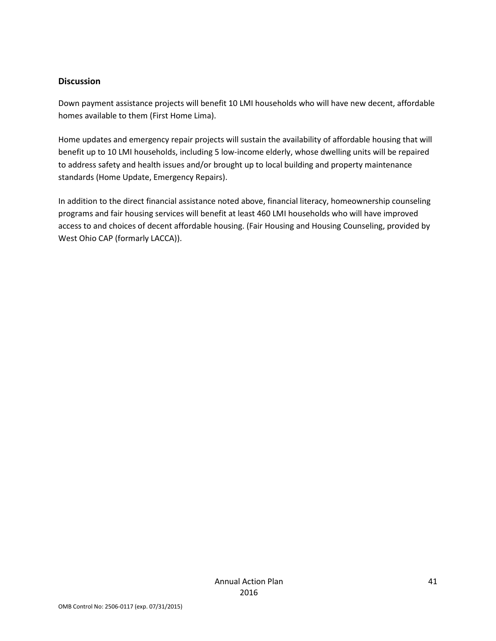#### **Discussion**

Down payment assistance projects will benefit 10 LMI households who will have new decent, affordable homes available to them (First Home Lima).

Home updates and emergency repair projects will sustain the availability of affordable housing that will benefit up to 10 LMI households, including 5 low-income elderly, whose dwelling units will be repaired to address safety and health issues and/or brought up to local building and property maintenance standards (Home Update, Emergency Repairs).

In addition to the direct financial assistance noted above, financial literacy, homeownership counseling programs and fair housing services will benefit at least 460 LMI households who will have improved access to and choices of decent affordable housing. (Fair Housing and Housing Counseling, provided by West Ohio CAP (formarly LACCA)).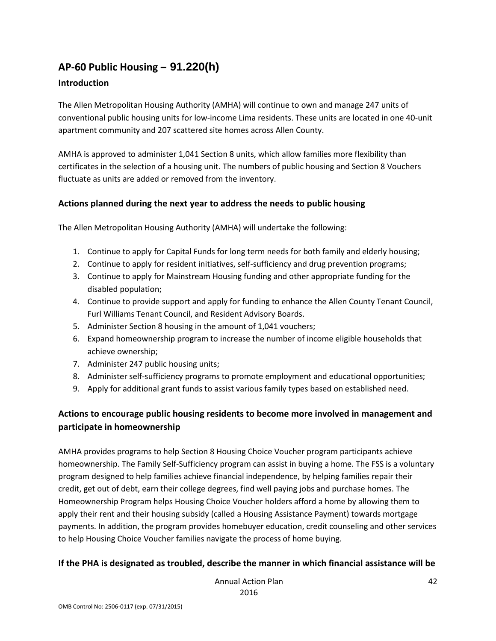# **AP-60 Public Housing** *–* **91.220(h)**

## **Introduction**

The Allen Metropolitan Housing Authority (AMHA) will continue to own and manage 247 units of conventional public housing units for low-income Lima residents. These units are located in one 40-unit apartment community and 207 scattered site homes across Allen County.

AMHA is approved to administer 1,041 Section 8 units, which allow families more flexibility than certificates in the selection of a housing unit. The numbers of public housing and Section 8 Vouchers fluctuate as units are added or removed from the inventory.

### **Actions planned during the next year to address the needs to public housing**

The Allen Metropolitan Housing Authority (AMHA) will undertake the following:

- 1. Continue to apply for Capital Funds for long term needs for both family and elderly housing;
- 2. Continue to apply for resident initiatives, self-sufficiency and drug prevention programs;
- 3. Continue to apply for Mainstream Housing funding and other appropriate funding for the disabled population;
- 4. Continue to provide support and apply for funding to enhance the Allen County Tenant Council, Furl Williams Tenant Council, and Resident Advisory Boards.
- 5. Administer Section 8 housing in the amount of 1,041 vouchers;
- 6. Expand homeownership program to increase the number of income eligible households that achieve ownership;
- 7. Administer 247 public housing units;
- 8. Administer self-sufficiency programs to promote employment and educational opportunities;
- 9. Apply for additional grant funds to assist various family types based on established need.

# **Actions to encourage public housing residents to become more involved in management and participate in homeownership**

AMHA provides programs to help Section 8 Housing Choice Voucher program participants achieve homeownership. The Family Self-Sufficiency program can assist in buying a home. The FSS is a voluntary program designed to help families achieve financial independence, by helping families repair their credit, get out of debt, earn their college degrees, find well paying jobs and purchase homes. The Homeownership Program helps Housing Choice Voucher holders afford a home by allowing them to apply their rent and their housing subsidy (called a Housing Assistance Payment) towards mortgage payments. In addition, the program provides homebuyer education, credit counseling and other services to help Housing Choice Voucher families navigate the process of home buying.

#### **If the PHA is designated as troubled, describe the manner in which financial assistance will be**

Annual Action Plan 2016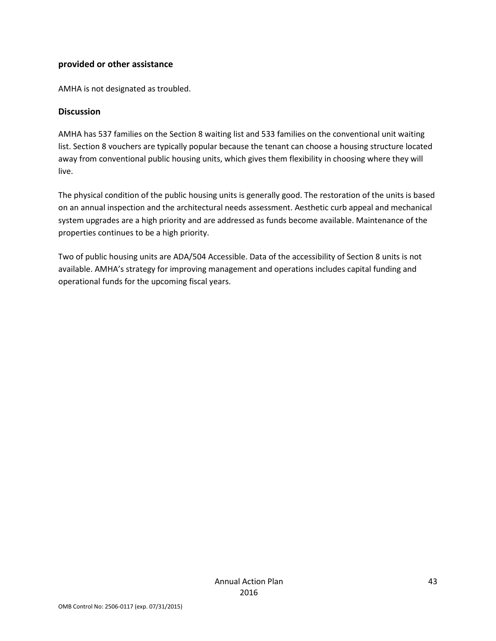#### **provided or other assistance**

AMHA is not designated as troubled.

#### **Discussion**

AMHA has 537 families on the Section 8 waiting list and 533 families on the conventional unit waiting list. Section 8 vouchers are typically popular because the tenant can choose a housing structure located away from conventional public housing units, which gives them flexibility in choosing where they will live.

The physical condition of the public housing units is generally good. The restoration of the units is based on an annual inspection and the architectural needs assessment. Aesthetic curb appeal and mechanical system upgrades are a high priority and are addressed as funds become available. Maintenance of the properties continues to be a high priority.

Two of public housing units are ADA/504 Accessible. Data of the accessibility of Section 8 units is not available. AMHA's strategy for improving management and operations includes capital funding and operational funds for the upcoming fiscal years.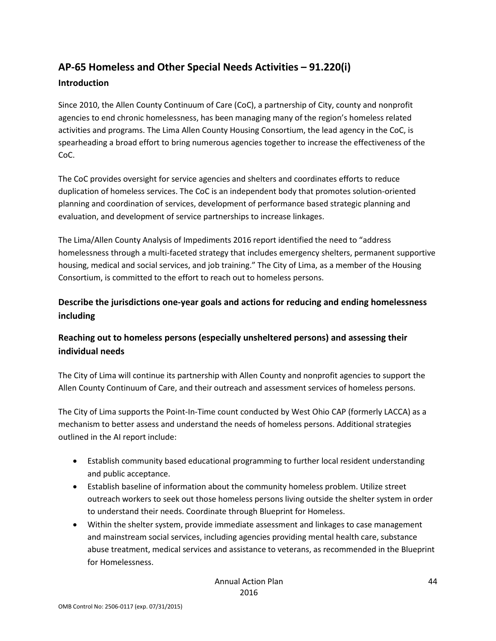# **AP-65 Homeless and Other Special Needs Activities – 91.220(i)**

## **Introduction**

Since 2010, the Allen County Continuum of Care (CoC), a partnership of City, county and nonprofit agencies to end chronic homelessness, has been managing many of the region's homeless related activities and programs. The Lima Allen County Housing Consortium, the lead agency in the CoC, is spearheading a broad effort to bring numerous agencies together to increase the effectiveness of the CoC.

The CoC provides oversight for service agencies and shelters and coordinates efforts to reduce duplication of homeless services. The CoC is an independent body that promotes solution-oriented planning and coordination of services, development of performance based strategic planning and evaluation, and development of service partnerships to increase linkages.

The Lima/Allen County Analysis of Impediments 2016 report identified the need to "address homelessness through a multi-faceted strategy that includes emergency shelters, permanent supportive housing, medical and social services, and job training." The City of Lima, as a member of the Housing Consortium, is committed to the effort to reach out to homeless persons.

## **Describe the jurisdictions one-year goals and actions for reducing and ending homelessness including**

# **Reaching out to homeless persons (especially unsheltered persons) and assessing their individual needs**

The City of Lima will continue its partnership with Allen County and nonprofit agencies to support the Allen County Continuum of Care, and their outreach and assessment services of homeless persons.

The City of Lima supports the Point-In-Time count conducted by West Ohio CAP (formerly LACCA) as a mechanism to better assess and understand the needs of homeless persons. Additional strategies outlined in the AI report include:

- Establish community based educational programming to further local resident understanding and public acceptance.
- Establish baseline of information about the community homeless problem. Utilize street outreach workers to seek out those homeless persons living outside the shelter system in order to understand their needs. Coordinate through Blueprint for Homeless.
- Within the shelter system, provide immediate assessment and linkages to case management and mainstream social services, including agencies providing mental health care, substance abuse treatment, medical services and assistance to veterans, as recommended in the Blueprint for Homelessness.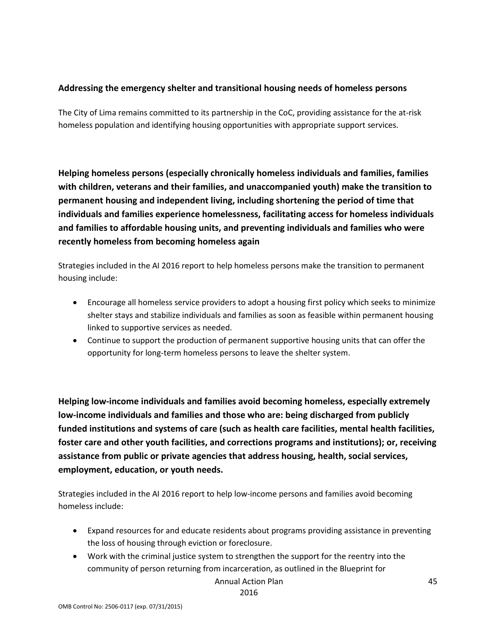### **Addressing the emergency shelter and transitional housing needs of homeless persons**

The City of Lima remains committed to its partnership in the CoC, providing assistance for the at-risk homeless population and identifying housing opportunities with appropriate support services.

**Helping homeless persons (especially chronically homeless individuals and families, families with children, veterans and their families, and unaccompanied youth) make the transition to permanent housing and independent living, including shortening the period of time that individuals and families experience homelessness, facilitating access for homeless individuals and families to affordable housing units, and preventing individuals and families who were recently homeless from becoming homeless again**

Strategies included in the AI 2016 report to help homeless persons make the transition to permanent housing include:

- Encourage all homeless service providers to adopt a housing first policy which seeks to minimize shelter stays and stabilize individuals and families as soon as feasible within permanent housing linked to supportive services as needed.
- Continue to support the production of permanent supportive housing units that can offer the opportunity for long-term homeless persons to leave the shelter system.

**Helping low-income individuals and families avoid becoming homeless, especially extremely low-income individuals and families and those who are: being discharged from publicly funded institutions and systems of care (such as health care facilities, mental health facilities, foster care and other youth facilities, and corrections programs and institutions); or, receiving assistance from public or private agencies that address housing, health, social services, employment, education, or youth needs.**

Strategies included in the AI 2016 report to help low-income persons and families avoid becoming homeless include:

- Expand resources for and educate residents about programs providing assistance in preventing the loss of housing through eviction or foreclosure.
- Work with the criminal justice system to strengthen the support for the reentry into the community of person returning from incarceration, as outlined in the Blueprint for

Annual Action Plan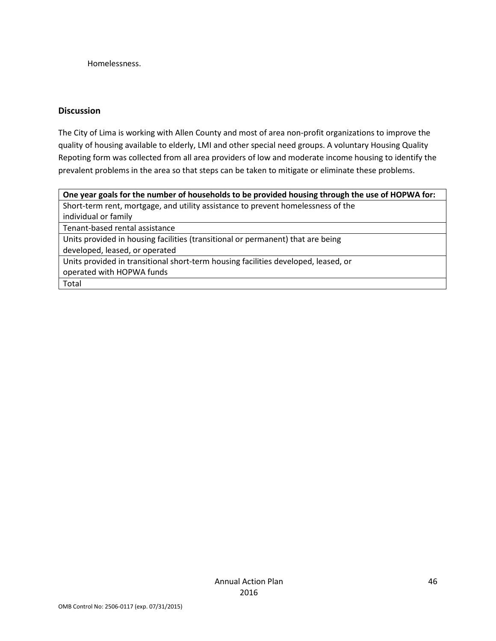Homelessness.

#### **Discussion**

The City of Lima is working with Allen County and most of area non-profit organizations to improve the quality of housing available to elderly, LMI and other special need groups. A voluntary Housing Quality Repoting form was collected from all area providers of low and moderate income housing to identify the prevalent problems in the area so that steps can be taken to mitigate or eliminate these problems.

| One year goals for the number of households to be provided housing through the use of HOPWA for: |
|--------------------------------------------------------------------------------------------------|
| Short-term rent, mortgage, and utility assistance to prevent homelessness of the                 |
| individual or family                                                                             |
| Tenant-based rental assistance                                                                   |
| Units provided in housing facilities (transitional or permanent) that are being                  |
| developed, leased, or operated                                                                   |
| Units provided in transitional short-term housing facilities developed, leased, or               |
| operated with HOPWA funds                                                                        |
| Total                                                                                            |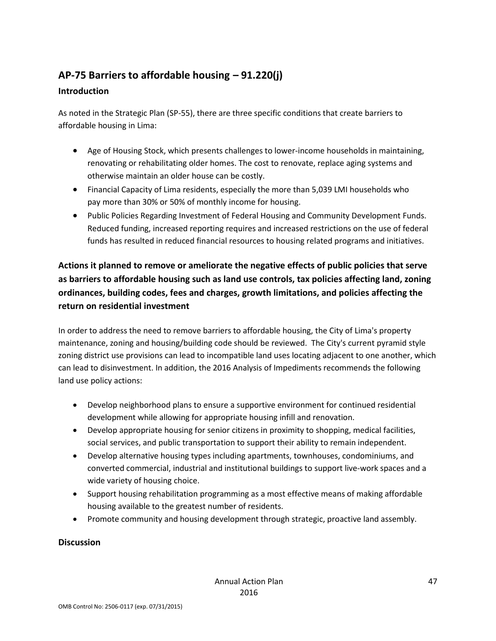# **AP-75 Barriers to affordable housing – 91.220(j)**

## **Introduction**

As noted in the Strategic Plan (SP-55), there are three specific conditions that create barriers to affordable housing in Lima:

- Age of Housing Stock, which presents challenges to lower-income households in maintaining, renovating or rehabilitating older homes. The cost to renovate, replace aging systems and otherwise maintain an older house can be costly.
- Financial Capacity of Lima residents, especially the more than 5,039 LMI households who pay more than 30% or 50% of monthly income for housing.
- Public Policies Regarding Investment of Federal Housing and Community Development Funds. Reduced funding, increased reporting requires and increased restrictions on the use of federal funds has resulted in reduced financial resources to housing related programs and initiatives.

# **Actions it planned to remove or ameliorate the negative effects of public policies that serve as barriers to affordable housing such as land use controls, tax policies affecting land, zoning ordinances, building codes, fees and charges, growth limitations, and policies affecting the return on residential investment**

In order to address the need to remove barriers to affordable housing, the City of Lima's property maintenance, zoning and housing/building code should be reviewed. The City's current pyramid style zoning district use provisions can lead to incompatible land uses locating adjacent to one another, which can lead to disinvestment. In addition, the 2016 Analysis of Impediments recommends the following land use policy actions:

- Develop neighborhood plans to ensure a supportive environment for continued residential development while allowing for appropriate housing infill and renovation.
- Develop appropriate housing for senior citizens in proximity to shopping, medical facilities, social services, and public transportation to support their ability to remain independent.
- Develop alternative housing types including apartments, townhouses, condominiums, and converted commercial, industrial and institutional buildings to support live-work spaces and a wide variety of housing choice.
- Support housing rehabilitation programming as a most effective means of making affordable housing available to the greatest number of residents.
- Promote community and housing development through strategic, proactive land assembly.

## **Discussion**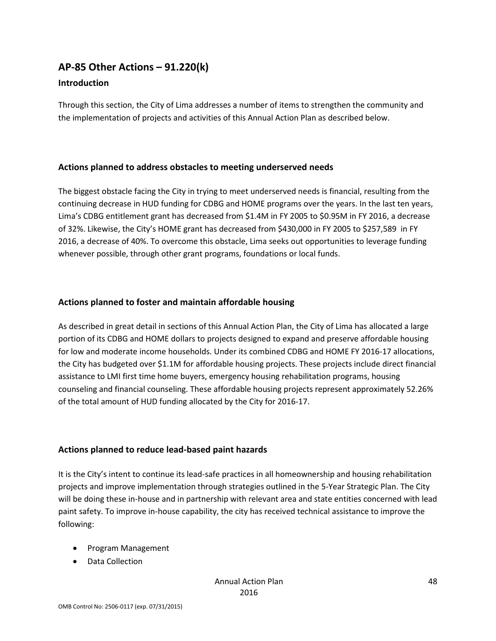## **AP-85 Other Actions – 91.220(k)**

#### **Introduction**

Through this section, the City of Lima addresses a number of items to strengthen the community and the implementation of projects and activities of this Annual Action Plan as described below.

#### **Actions planned to address obstacles to meeting underserved needs**

The biggest obstacle facing the City in trying to meet underserved needs is financial, resulting from the continuing decrease in HUD funding for CDBG and HOME programs over the years. In the last ten years, Lima's CDBG entitlement grant has decreased from \$1.4M in FY 2005 to \$0.95M in FY 2016, a decrease of 32%. Likewise, the City's HOME grant has decreased from \$430,000 in FY 2005 to \$257,589 in FY 2016, a decrease of 40%. To overcome this obstacle, Lima seeks out opportunities to leverage funding whenever possible, through other grant programs, foundations or local funds.

#### **Actions planned to foster and maintain affordable housing**

As described in great detail in sections of this Annual Action Plan, the City of Lima has allocated a large portion of its CDBG and HOME dollars to projects designed to expand and preserve affordable housing for low and moderate income households. Under its combined CDBG and HOME FY 2016-17 allocations, the City has budgeted over \$1.1M for affordable housing projects. These projects include direct financial assistance to LMI first time home buyers, emergency housing rehabilitation programs, housing counseling and financial counseling. These affordable housing projects represent approximately 52.26% of the total amount of HUD funding allocated by the City for 2016-17.

#### **Actions planned to reduce lead-based paint hazards**

It is the City's intent to continue its lead-safe practices in all homeownership and housing rehabilitation projects and improve implementation through strategies outlined in the 5-Year Strategic Plan. The City will be doing these in-house and in partnership with relevant area and state entities concerned with lead paint safety. To improve in-house capability, the city has received technical assistance to improve the following:

- Program Management
- Data Collection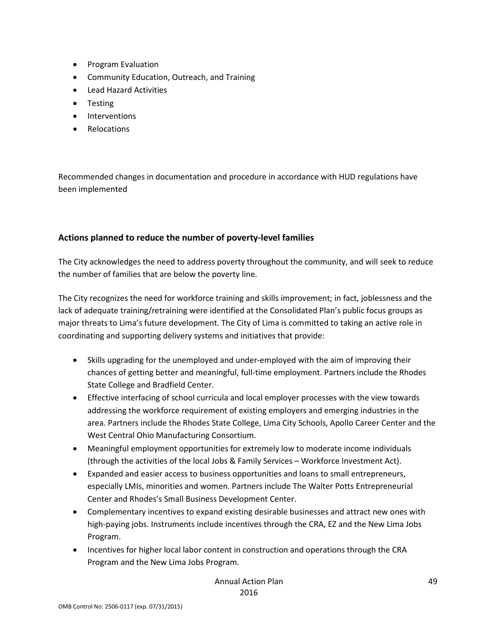- Program Evaluation
- Community Education, Outreach, and Training
- Lead Hazard Activities
- Testing
- Interventions
- Relocations

Recommended changes in documentation and procedure in accordance with HUD regulations have been implemented

## **Actions planned to reduce the number of poverty-level families**

The City acknowledges the need to address poverty throughout the community, and will seek to reduce the number of families that are below the poverty line.

The City recognizes the need for workforce training and skills improvement; in fact, joblessness and the lack of adequate training/retraining were identified at the Consolidated Plan's public focus groups as major threats to Lima's future development. The City of Lima is committed to taking an active role in coordinating and supporting delivery systems and initiatives that provide:

- Skills upgrading for the unemployed and under-employed with the aim of improving their chances of getting better and meaningful, full-time employment. Partners include the Rhodes State College and Bradfield Center.
- Effective interfacing of school curricula and local employer processes with the view towards addressing the workforce requirement of existing employers and emerging industries in the area. Partners include the Rhodes State College, Lima City Schools, Apollo Career Center and the West Central Ohio Manufacturing Consortium.
- Meaningful employment opportunities for extremely low to moderate income individuals (through the activities of the local Jobs & Family Services – Workforce Investment Act).
- Expanded and easier access to business opportunities and loans to small entrepreneurs, especially LMIs, minorities and women. Partners include The Walter Potts Entrepreneurial Center and Rhodes's Small Business Development Center.
- Complementary incentives to expand existing desirable businesses and attract new ones with high-paying jobs. Instruments include incentives through the CRA, EZ and the New Lima Jobs Program.
- Incentives for higher local labor content in construction and operations through the CRA Program and the New Lima Jobs Program.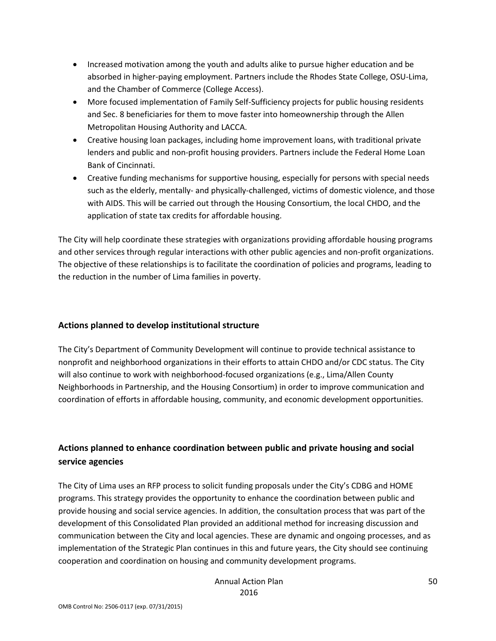- Increased motivation among the youth and adults alike to pursue higher education and be absorbed in higher-paying employment. Partners include the Rhodes State College, OSU-Lima, and the Chamber of Commerce (College Access).
- More focused implementation of Family Self-Sufficiency projects for public housing residents and Sec. 8 beneficiaries for them to move faster into homeownership through the Allen Metropolitan Housing Authority and LACCA.
- Creative housing loan packages, including home improvement loans, with traditional private lenders and public and non-profit housing providers. Partners include the Federal Home Loan Bank of Cincinnati.
- Creative funding mechanisms for supportive housing, especially for persons with special needs such as the elderly, mentally- and physically-challenged, victims of domestic violence, and those with AIDS. This will be carried out through the Housing Consortium, the local CHDO, and the application of state tax credits for affordable housing.

The City will help coordinate these strategies with organizations providing affordable housing programs and other services through regular interactions with other public agencies and non-profit organizations. The objective of these relationships is to facilitate the coordination of policies and programs, leading to the reduction in the number of Lima families in poverty.

## **Actions planned to develop institutional structure**

The City's Department of Community Development will continue to provide technical assistance to nonprofit and neighborhood organizations in their efforts to attain CHDO and/or CDC status. The City will also continue to work with neighborhood-focused organizations (e.g., Lima/Allen County Neighborhoods in Partnership, and the Housing Consortium) in order to improve communication and coordination of efforts in affordable housing, community, and economic development opportunities.

## **Actions planned to enhance coordination between public and private housing and social service agencies**

The City of Lima uses an RFP process to solicit funding proposals under the City's CDBG and HOME programs. This strategy provides the opportunity to enhance the coordination between public and provide housing and social service agencies. In addition, the consultation process that was part of the development of this Consolidated Plan provided an additional method for increasing discussion and communication between the City and local agencies. These are dynamic and ongoing processes, and as implementation of the Strategic Plan continues in this and future years, the City should see continuing cooperation and coordination on housing and community development programs.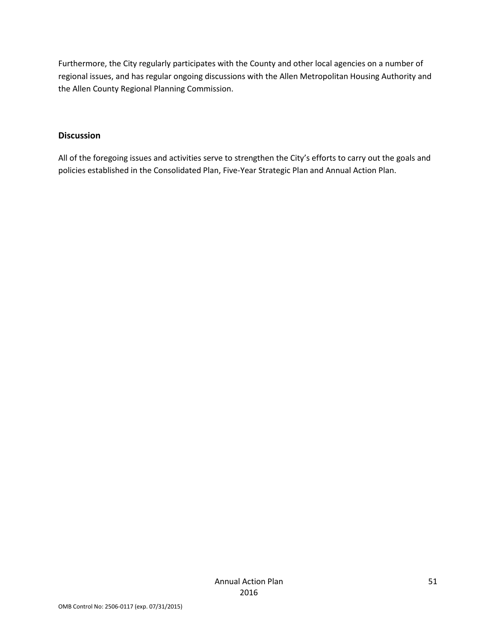Furthermore, the City regularly participates with the County and other local agencies on a number of regional issues, and has regular ongoing discussions with the Allen Metropolitan Housing Authority and the Allen County Regional Planning Commission.

#### **Discussion**

All of the foregoing issues and activities serve to strengthen the City's efforts to carry out the goals and policies established in the Consolidated Plan, Five-Year Strategic Plan and Annual Action Plan.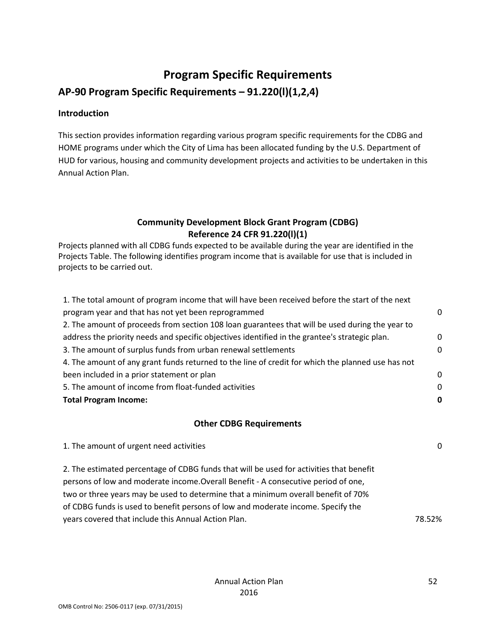# **Program Specific Requirements**

**AP-90 Program Specific Requirements – 91.220(l)(1,2,4)**

#### **Introduction**

This section provides information regarding various program specific requirements for the CDBG and HOME programs under which the City of Lima has been allocated funding by the U.S. Department of HUD for various, housing and community development projects and activities to be undertaken in this Annual Action Plan.

## **Community Development Block Grant Program (CDBG) Reference 24 CFR 91.220(l)(1)**

Projects planned with all CDBG funds expected to be available during the year are identified in the Projects Table. The following identifies program income that is available for use that is included in projects to be carried out.

| 1. The total amount of program income that will have been received before the start of the next   |              |
|---------------------------------------------------------------------------------------------------|--------------|
| program year and that has not yet been reprogrammed                                               | $\mathbf{0}$ |
| 2. The amount of proceeds from section 108 loan guarantees that will be used during the year to   |              |
| address the priority needs and specific objectives identified in the grantee's strategic plan.    | $\mathbf{0}$ |
| 3. The amount of surplus funds from urban renewal settlements                                     | $\Omega$     |
| 4. The amount of any grant funds returned to the line of credit for which the planned use has not |              |
| been included in a prior statement or plan                                                        | 0            |
| 5. The amount of income from float-funded activities                                              | $\Omega$     |
| <b>Total Program Income:</b>                                                                      | 0            |
|                                                                                                   |              |
| <b>Other CDBG Requirements</b>                                                                    |              |
| 1. The amount of urgent need activities                                                           | 0            |
|                                                                                                   |              |
| 2. The estimated percentage of CDBG funds that will be used for activities that benefit           |              |
| persons of low and moderate income. Overall Benefit - A consecutive period of one,                |              |
| two or three years may be used to determine that a minimum overall benefit of 70%                 |              |
| of CDBG funds is used to benefit persons of low and moderate income. Specify the                  |              |
| years covered that include this Annual Action Plan.                                               | 78.52%       |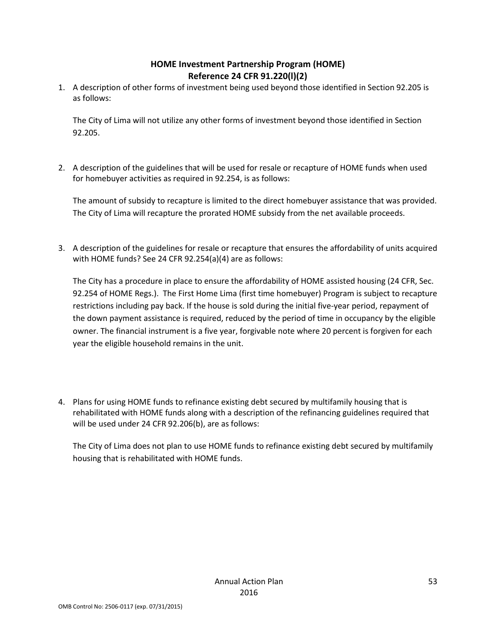## **HOME Investment Partnership Program (HOME) Reference 24 CFR 91.220(l)(2)**

1. A description of other forms of investment being used beyond those identified in Section 92.205 is as follows:

The City of Lima will not utilize any other forms of investment beyond those identified in Section 92.205.

2. A description of the guidelines that will be used for resale or recapture of HOME funds when used for homebuyer activities as required in 92.254, is as follows:

The amount of subsidy to recapture is limited to the direct homebuyer assistance that was provided. The City of Lima will recapture the prorated HOME subsidy from the net available proceeds.

3. A description of the guidelines for resale or recapture that ensures the affordability of units acquired with HOME funds? See 24 CFR 92.254(a)(4) are as follows:

The City has a procedure in place to ensure the affordability of HOME assisted housing (24 CFR, Sec. 92.254 of HOME Regs.). The First Home Lima (first time homebuyer) Program is subject to recapture restrictions including pay back. If the house is sold during the initial five-year period, repayment of the down payment assistance is required, reduced by the period of time in occupancy by the eligible owner. The financial instrument is a five year, forgivable note where 20 percent is forgiven for each year the eligible household remains in the unit.

4. Plans for using HOME funds to refinance existing debt secured by multifamily housing that is rehabilitated with HOME funds along with a description of the refinancing guidelines required that will be used under 24 CFR 92.206(b), are as follows:

The City of Lima does not plan to use HOME funds to refinance existing debt secured by multifamily housing that is rehabilitated with HOME funds.